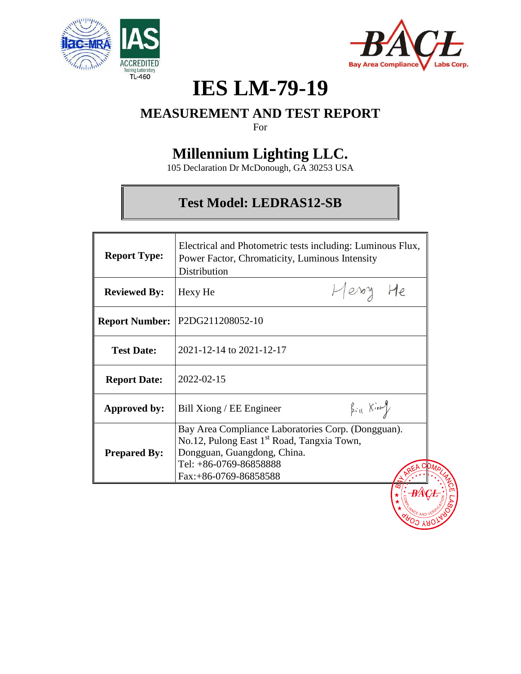



# **IES LM-79-19**

# **MEASUREMENT AND TEST REPORT**

For

# **Millennium Lighting LLC.**

105 Declaration Dr McDonough, GA 30253 USA

# **Test Model: LEDRAS12-SB**

| <b>Report Type:</b> | Electrical and Photometric tests including: Luminous Flux,<br>Power Factor, Chromaticity, Luminous Intensity<br>Distribution                                                                   |                     |  |  |  |  |  |
|---------------------|------------------------------------------------------------------------------------------------------------------------------------------------------------------------------------------------|---------------------|--|--|--|--|--|
| <b>Reviewed By:</b> | Hexy He                                                                                                                                                                                        | Herry He            |  |  |  |  |  |
|                     | Report Number:   P2DG211208052-10                                                                                                                                                              |                     |  |  |  |  |  |
| <b>Test Date:</b>   | 2021-12-14 to 2021-12-17                                                                                                                                                                       |                     |  |  |  |  |  |
| <b>Report Date:</b> | 2022-02-15                                                                                                                                                                                     |                     |  |  |  |  |  |
| Approved by:        | Bill Xiong / EE Engineer                                                                                                                                                                       | $\beta_{i11}$ Kiong |  |  |  |  |  |
| <b>Prepared By:</b> | Bay Area Compliance Laboratories Corp. (Dongguan).<br>No.12, Pulong East 1 <sup>st</sup> Road, Tangxia Town,<br>Dongguan, Guangdong, China.<br>Tel: +86-0769-86858888<br>Fax:+86-0769-86858588 |                     |  |  |  |  |  |
|                     |                                                                                                                                                                                                |                     |  |  |  |  |  |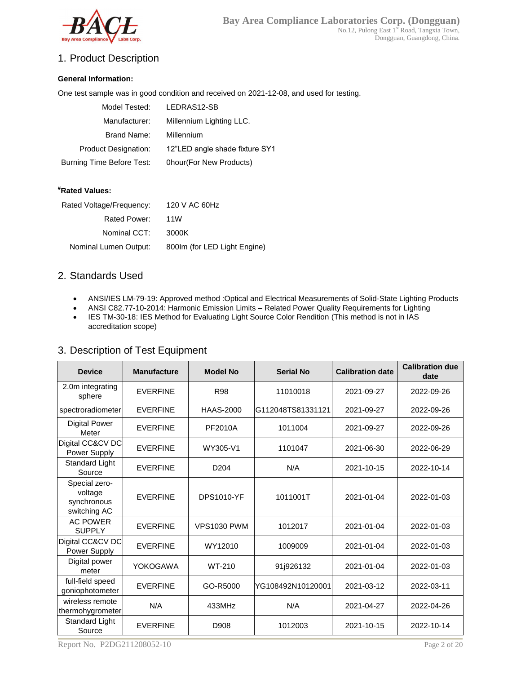

# 1. Product Description

#### **General Information:**

One test sample was in good condition and received on 2021-12-08, and used for testing.

| Model Tested:               | LEDRAS12-SB                    |
|-----------------------------|--------------------------------|
| Manufacturer:               | Millennium Lighting LLC.       |
| Brand Name:                 | Millennium                     |
| <b>Product Designation:</b> | 12"LED angle shade fixture SY1 |
| Burning Time Before Test:   | 0hour(For New Products)        |

#### **#Rated Values:**

| Rated Voltage/Frequency: | 120 V AC 60Hz                |
|--------------------------|------------------------------|
| Rated Power:             | 11W                          |
| Nominal CCT:             | 3000K                        |
| Nominal Lumen Output:    | 800Im (for LED Light Engine) |
|                          |                              |

### 2. Standards Used

- ANSI/IES LM-79-19: Approved method :Optical and Electrical Measurements of Solid-State Lighting Products
- ANSI C82.77-10-2014: Harmonic Emission Limits Related Power Quality Requirements for Lighting
- IES TM-30-18: IES Method for Evaluating Light Source Color Rendition (This method is not in IAS accreditation scope)

| 3. Description of Test Equipment |  |  |
|----------------------------------|--|--|
|                                  |  |  |

| <b>Device</b>                                           | <b>Manufacture</b> | <b>Model No</b>    | <b>Serial No</b>  | <b>Calibration date</b> | <b>Calibration due</b><br>date |
|---------------------------------------------------------|--------------------|--------------------|-------------------|-------------------------|--------------------------------|
| 2.0m integrating<br>sphere                              | <b>EVERFINE</b>    | <b>R98</b>         | 11010018          | 2021-09-27              | 2022-09-26                     |
| spectroradiometer                                       | <b>EVERFINE</b>    | <b>HAAS-2000</b>   | G112048TS81331121 | 2021-09-27              | 2022-09-26                     |
| <b>Digital Power</b><br>Meter                           | <b>EVERFINE</b>    | PF2010A            | 1011004           | 2021-09-27              | 2022-09-26                     |
| Digital CC&CV DC<br>Power Supply                        | <b>EVERFINE</b>    | WY305-V1           | 1101047           | 2021-06-30              | 2022-06-29                     |
| Standard Light<br>Source                                | <b>EVERFINE</b>    | D <sub>204</sub>   | N/A               | 2021-10-15              | 2022-10-14                     |
| Special zero-<br>voltage<br>synchronous<br>switching AC | <b>EVERFINE</b>    | <b>DPS1010-YF</b>  | 1011001T          | 2021-01-04              | 2022-01-03                     |
| <b>AC POWER</b><br><b>SUPPLY</b>                        | <b>EVERFINE</b>    | <b>VPS1030 PWM</b> | 1012017           | 2021-01-04              | 2022-01-03                     |
| Digital CC&CV DC<br>Power Supply                        | <b>EVERFINE</b>    | WY12010            | 1009009           | 2021-01-04              | 2022-01-03                     |
| Digital power<br>meter                                  | YOKOGAWA           | WT-210             | 91j926132         | 2021-01-04              | 2022-01-03                     |
| full-field speed<br>goniophotometer                     | <b>EVERFINE</b>    | GO-R5000           | YG108492N10120001 | 2021-03-12              | 2022-03-11                     |
| wireless remote<br>thermohygrometer                     | N/A                | 433MHz             | N/A               | 2021-04-27              | 2022-04-26                     |
| <b>Standard Light</b><br>Source                         | <b>EVERFINE</b>    | D908               | 1012003           | 2021-10-15              | 2022-10-14                     |

Report No. P2DG211208052-10 Page 2 of 20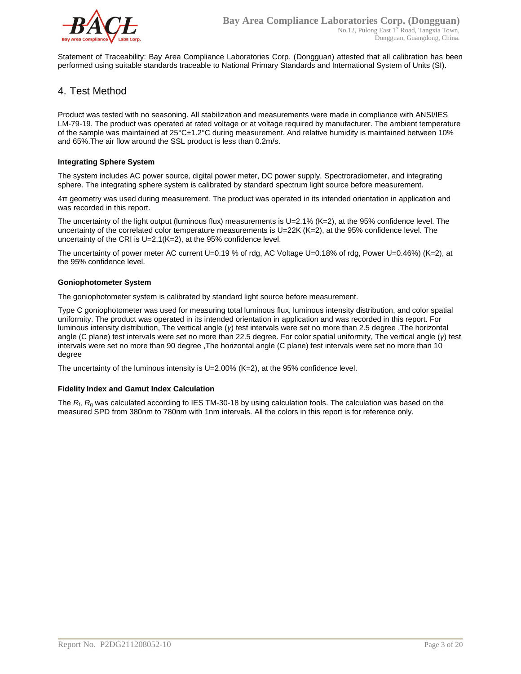

Statement of Traceability: Bay Area Compliance Laboratories Corp. (Dongguan) attested that all calibration has been performed using suitable standards traceable to National Primary Standards and International System of Units (SI).

#### 4. Test Method

Product was tested with no seasoning. All stabilization and measurements were made in compliance with ANSI/IES LM-79-19. The product was operated at rated voltage or at voltage required by manufacturer. The ambient temperature of the sample was maintained at 25°C±1.2°C during measurement. And relative humidity is maintained between 10% and 65%.The air flow around the SSL product is less than 0.2m/s.

#### **Integrating Sphere System**

The system includes AC power source, digital power meter, DC power supply, Spectroradiometer, and integrating sphere. The integrating sphere system is calibrated by standard spectrum light source before measurement.

4π geometry was used during measurement. The product was operated in its intended orientation in application and was recorded in this report.

The uncertainty of the light output (luminous flux) measurements is  $U=2.1\%$  (K=2), at the 95% confidence level. The uncertainty of the correlated color temperature measurements is U=22K (K=2), at the 95% confidence level. The uncertainty of the CRI is U=2.1(K=2), at the 95% confidence level.

The uncertainty of power meter AC current U=0.19 % of rdg, AC Voltage U=0.18% of rdg, Power U=0.46%) (K=2), at the 95% confidence level.

#### **Goniophotometer System**

The goniophotometer system is calibrated by standard light source before measurement.

Type C goniophotometer was used for measuring total luminous flux, luminous intensity distribution, and color spatial uniformity. The product was operated in its intended orientation in application and was recorded in this report. For luminous intensity distribution, The vertical angle (*γ*) test intervals were set no more than 2.5 degree ,The horizontal angle (C plane) test intervals were set no more than 22.5 degree. For color spatial uniformity, The vertical angle (*γ*) test intervals were set no more than 90 degree ,The horizontal angle (C plane) test intervals were set no more than 10 degree

The uncertainty of the luminous intensity is U=2.00% (K=2), at the 95% confidence level.

#### **Fidelity Index and Gamut Index Calculation**

The  $R_i$ ,  $R_q$  was calculated according to IES TM-30-18 by using calculation tools. The calculation was based on the measured SPD from 380nm to 780nm with 1nm intervals. All the colors in this report is for reference only.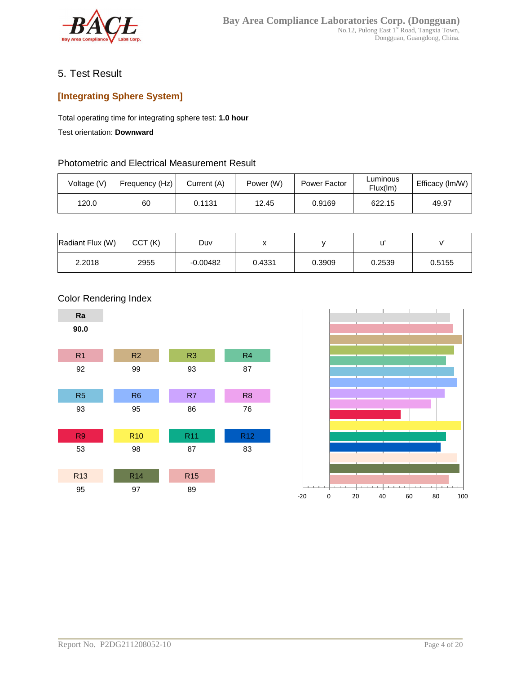

# 5. Test Result

# **[Integrating Sphere System]**

Total operating time for integrating sphere test: **1.0 hour**

Test orientation: **Downward**

### Photometric and Electrical Measurement Result

| Voltage (V) | Frequency (Hz) | Current (A) | Power (W) | Power Factor | ∟uminous<br>Flux(lm) | Efficacy (Im/W) |
|-------------|----------------|-------------|-----------|--------------|----------------------|-----------------|
| 120.0       | 60             | 0.1131      | 12.45     | 0.9169       | 622.15               | 49.97           |

| Radiant Flux (W) | CCT(K) | Duv        |        |        |        |        |
|------------------|--------|------------|--------|--------|--------|--------|
| 2.2018           | 2955   | $-0.00482$ | 0.4331 | 0.3909 | 0.2539 | 0.5155 |





### Color Rendering Index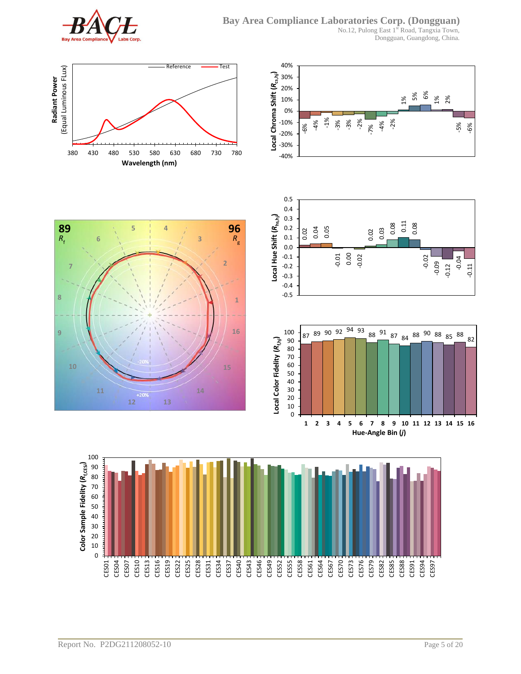

**6**

**11**

**7**

 $R_f$ 

**8**

**9**

No.12, Pulong East 1st Road, Tangxia Town, Dongguan, Guangdong, China.



**5 4**

**89 96**

**10 15**

**12 13**





**1**

*R*g

**16**

**2**

**3**

**14**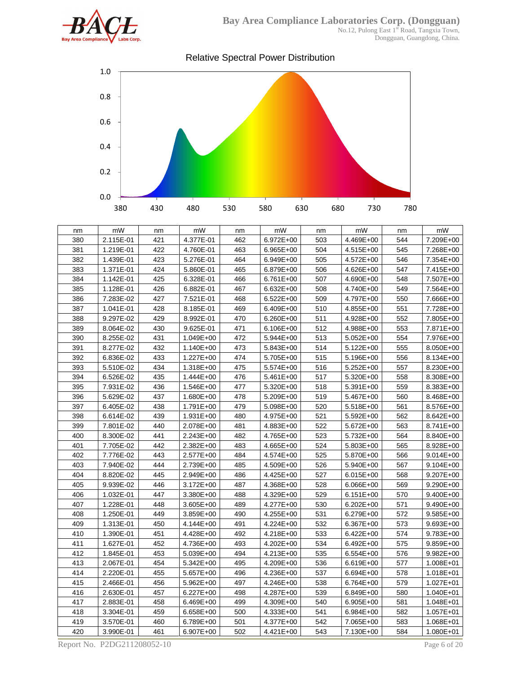

Dongguan, Guangdong, China.



| nm  | mW        | nm  | mW            | nm  | mW        | nm  | mW            | nm  | mW            |
|-----|-----------|-----|---------------|-----|-----------|-----|---------------|-----|---------------|
| 380 | 2.115E-01 | 421 | 4.377E-01     | 462 | 6.972E+00 | 503 | 4.469E+00     | 544 | 7.209E+00     |
| 381 | 1.219E-01 | 422 | 4.760E-01     | 463 | 6.965E+00 | 504 | 4.515E+00     | 545 | 7.268E+00     |
| 382 | 1.439E-01 | 423 | 5.276E-01     | 464 | 6.949E+00 | 505 | 4.572E+00     | 546 | 7.354E+00     |
| 383 | 1.371E-01 | 424 | 5.860E-01     | 465 | 6.879E+00 | 506 | 4.626E+00     | 547 | 7.415E+00     |
| 384 | 1.142E-01 | 425 | 6.328E-01     | 466 | 6.761E+00 | 507 | 4.690E+00     | 548 | 7.507E+00     |
| 385 | 1.128E-01 | 426 | 6.882E-01     | 467 | 6.632E+00 | 508 | 4.740E+00     | 549 | 7.564E+00     |
| 386 | 7.283E-02 | 427 | 7.521E-01     | 468 | 6.522E+00 | 509 | 4.797E+00     | 550 | 7.666E+00     |
| 387 | 1.041E-01 | 428 | 8.185E-01     | 469 | 6.409E+00 | 510 | 4.855E+00     | 551 | 7.728E+00     |
| 388 | 9.297E-02 | 429 | 8.992E-01     | 470 | 6.260E+00 | 511 | 4.928E+00     | 552 | 7.805E+00     |
| 389 | 8.064E-02 | 430 | 9.625E-01     | 471 | 6.106E+00 | 512 | 4.988E+00     | 553 | 7.871E+00     |
| 390 | 8.255E-02 | 431 | 1.049E+00     | 472 | 5.944E+00 | 513 | $5.052E+00$   | 554 | 7.976E+00     |
| 391 | 8.277E-02 | 432 | 1.140E+00     | 473 | 5.843E+00 | 514 | 5.122E+00     | 555 | 8.050E+00     |
| 392 | 6.836E-02 | 433 | 1.227E+00     | 474 | 5.705E+00 | 515 | 5.196E+00     | 556 | 8.134E+00     |
| 393 | 5.510E-02 | 434 | 1.318E+00     | 475 | 5.574E+00 | 516 | $5.252E+00$   | 557 | 8.230E+00     |
| 394 | 6.526E-02 | 435 | 1.444E+00     | 476 | 5.461E+00 | 517 | 5.320E+00     | 558 | 8.308E+00     |
| 395 | 7.931E-02 | 436 | 1.546E+00     | 477 | 5.320E+00 | 518 | 5.391E+00     | 559 | 8.383E+00     |
| 396 | 5.629E-02 | 437 | 1.680E+00     | 478 | 5.209E+00 | 519 | 5.467E+00     | 560 | 8.468E+00     |
| 397 | 6.405E-02 | 438 | 1.791E+00     | 479 | 5.098E+00 | 520 | 5.518E+00     | 561 | 8.576E+00     |
| 398 | 6.614E-02 | 439 | 1.931E+00     | 480 | 4.975E+00 | 521 | 5.592E+00     | 562 | 8.642E+00     |
| 399 | 7.801E-02 | 440 | 2.078E+00     | 481 | 4.883E+00 | 522 | 5.672E+00     | 563 | 8.741E+00     |
| 400 | 8.300E-02 | 441 | 2.243E+00     | 482 | 4.765E+00 | 523 | 5.732E+00     | 564 | 8.840E+00     |
| 401 | 7.705E-02 | 442 | 2.382E+00     | 483 | 4.665E+00 | 524 | 5.803E+00     | 565 | 8.928E+00     |
| 402 | 7.776E-02 | 443 | 2.577E+00     | 484 | 4.574E+00 | 525 | 5.870E+00     | 566 | $9.014E + 00$ |
| 403 | 7.940E-02 | 444 | 2.739E+00     | 485 | 4.509E+00 | 526 | 5.940E+00     | 567 | 9.104E+00     |
| 404 | 8.820E-02 | 445 | 2.949E+00     | 486 | 4.425E+00 | 527 | 6.015E+00     | 568 | 9.207E+00     |
| 405 | 9.939E-02 | 446 | 3.172E+00     | 487 | 4.368E+00 | 528 | 6.066E+00     | 569 | 9.290E+00     |
| 406 | 1.032E-01 | 447 | 3.380E+00     | 488 | 4.329E+00 | 529 | 6.151E+00     | 570 | 9.400E+00     |
| 407 | 1.228E-01 | 448 | $3.605E + 00$ | 489 | 4.277E+00 | 530 | $6.202E + 00$ | 571 | 9.490E+00     |
| 408 | 1.250E-01 | 449 | $3.859E + 00$ | 490 | 4.255E+00 | 531 | 6.279E+00     | 572 | 9.585E+00     |
| 409 | 1.313E-01 | 450 | 4.144E+00     | 491 | 4.224E+00 | 532 | 6.367E+00     | 573 | 9.693E+00     |
| 410 | 1.390E-01 | 451 | 4.428E+00     | 492 | 4.218E+00 | 533 | $6.422E+00$   | 574 | 9.783E+00     |
| 411 | 1.627E-01 | 452 | 4.736E+00     | 493 | 4.202E+00 | 534 | $6.492E+00$   | 575 | 9.859E+00     |
| 412 | 1.845E-01 | 453 | 5.039E+00     | 494 | 4.213E+00 | 535 | $6.554E+00$   | 576 | 9.982E+00     |
| 413 | 2.067E-01 | 454 | 5.342E+00     | 495 | 4.209E+00 | 536 | 6.619E+00     | 577 | 1.008E+01     |
| 414 | 2.220E-01 | 455 | 5.657E+00     | 496 | 4.236E+00 | 537 | 6.694E+00     | 578 | 1.018E+01     |
| 415 | 2.466E-01 | 456 | 5.962E+00     | 497 | 4.246E+00 | 538 | 6.764E+00     | 579 | 1.027E+01     |
| 416 | 2.630E-01 | 457 | 6.227E+00     | 498 | 4.287E+00 | 539 | 6.849E+00     | 580 | 1.040E+01     |
| 417 | 2.883E-01 | 458 | 6.469E+00     | 499 | 4.309E+00 | 540 | 6.905E+00     | 581 | 1.048E+01     |
| 418 | 3.304E-01 | 459 | 6.658E+00     | 500 | 4.333E+00 | 541 | 6.984E+00     | 582 | 1.057E+01     |
| 419 | 3.570E-01 | 460 | 6.789E+00     | 501 | 4.377E+00 | 542 | 7.065E+00     | 583 | 1.068E+01     |
| 420 | 3.990E-01 | 461 | 6.907E+00     | 502 | 4.421E+00 | 543 | 7.130E+00     | 584 | 1.080E+01     |

Report No. P2DG211208052-10 Page 6 of 20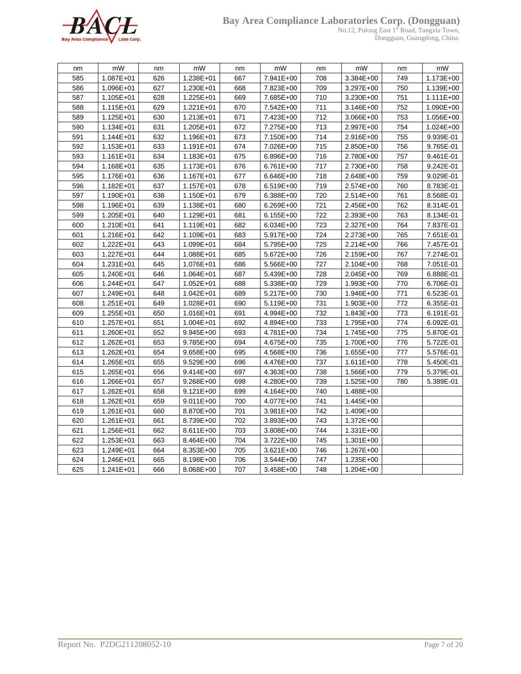

#### **Bay Area Compliance Laboratories Corp. (Dongguan)**

No.12, Pulong East 1<sup>st</sup> Road, Tangxia Town, Dongguan, Guangdong, China.

| nm  | mW            | nm  | mW            | nm  | mW        | nm  | mW            | nm  | mW        |
|-----|---------------|-----|---------------|-----|-----------|-----|---------------|-----|-----------|
| 585 | 1.087E+01     | 626 | 1.238E+01     | 667 | 7.941E+00 | 708 | 3.384E+00     | 749 | 1.173E+00 |
| 586 | 1.096E+01     | 627 | 1.230E+01     | 668 | 7.823E+00 | 709 | 3.297E+00     | 750 | 1.139E+00 |
| 587 | 1.105E+01     | 628 | 1.225E+01     | 669 | 7.685E+00 | 710 | 3.230E+00     | 751 | 1.111E+00 |
| 588 | 1.115E+01     | 629 | $1.221E + 01$ | 670 | 7.542E+00 | 711 | 3.146E+00     | 752 | 1.090E+00 |
| 589 | 1.125E+01     | 630 | $1.213E + 01$ | 671 | 7.423E+00 | 712 | 3.066E+00     | 753 | 1.056E+00 |
| 590 | $1.134E + 01$ | 631 | 1.205E+01     | 672 | 7.275E+00 | 713 | 2.997E+00     | 754 | 1.024E+00 |
| 591 | 1.144E+01     | 632 | 1.196E+01     | 673 | 7.150E+00 | 714 | 2.916E+00     | 755 | 9.939E-01 |
| 592 | $1.153E + 01$ | 633 | $1.191E + 01$ | 674 | 7.026E+00 | 715 | 2.850E+00     | 756 | 9.765E-01 |
| 593 | 1.161E+01     | 634 | $1.183E + 01$ | 675 | 6.896E+00 | 716 | 2.780E+00     | 757 | 9.461E-01 |
| 594 | 1.168E+01     | 635 | 1.173E+01     | 676 | 6.761E+00 | 717 | 2.730E+00     | 758 | 9.242E-01 |
| 595 | 1.176E+01     | 636 | 1.167E+01     | 677 | 6.646E+00 | 718 | 2.648E+00     | 759 | 9.029E-01 |
| 596 | 1.182E+01     | 637 | 1.157E+01     | 678 | 6.519E+00 | 719 | 2.574E+00     | 760 | 8.783E-01 |
| 597 | 1.190E+01     | 638 | 1.150E+01     | 679 | 6.388E+00 | 720 | 2.514E+00     | 761 | 8.568E-01 |
| 598 | 1.196E+01     | 639 | $1.138E + 01$ | 680 | 6.269E+00 | 721 | 2.456E+00     | 762 | 8.314E-01 |
| 599 | 1.205E+01     | 640 | 1.129E+01     | 681 | 6.155E+00 | 722 | 2.393E+00     | 763 | 8.134E-01 |
| 600 | 1.210E+01     | 641 | 1.119E+01     | 682 | 6.034E+00 | 723 | 2.327E+00     | 764 | 7.837E-01 |
| 601 | 1.216E+01     | 642 | 1.109E+01     | 683 | 5.917E+00 | 724 | 2.273E+00     | 765 | 7.651E-01 |
| 602 | 1.222E+01     | 643 | 1.099E+01     | 684 | 5.795E+00 | 725 | 2.214E+00     | 766 | 7.457E-01 |
| 603 | 1.227E+01     | 644 | 1.088E+01     | 685 | 5.672E+00 | 726 | 2.159E+00     | 767 | 7.274E-01 |
| 604 | 1.231E+01     | 645 | 1.076E+01     | 686 | 5.566E+00 | 727 | 2.104E+00     | 768 | 7.051E-01 |
| 605 | 1.240E+01     | 646 | 1.064E+01     | 687 | 5.439E+00 | 728 | 2.045E+00     | 769 | 6.888E-01 |
| 606 | 1.244E+01     | 647 | $1.052E + 01$ | 688 | 5.338E+00 | 729 | 1.993E+00     | 770 | 6.706E-01 |
| 607 | 1.249E+01     | 648 | $1.042E + 01$ | 689 | 5.217E+00 | 730 | 1.946E+00     | 771 | 6.523E-01 |
| 608 | 1.251E+01     | 649 | 1.028E+01     | 690 | 5.119E+00 | 731 | 1.903E+00     | 772 | 6.355E-01 |
| 609 | 1.255E+01     | 650 | 1.016E+01     | 691 | 4.994E+00 | 732 | 1.843E+00     | 773 | 6.191E-01 |
| 610 | 1.257E+01     | 651 | $1.004E + 01$ | 692 | 4.894E+00 | 733 | 1.795E+00     | 774 | 6.092E-01 |
| 611 | 1.260E+01     | 652 | 9.945E+00     | 693 | 4.781E+00 | 734 | 1.745E+00     | 775 | 5.870E-01 |
| 612 | 1.262E+01     | 653 | 9.785E+00     | 694 | 4.675E+00 | 735 | 1.700E+00     | 776 | 5.722E-01 |
| 613 | 1.262E+01     | 654 | 9.658E+00     | 695 | 4.568E+00 | 736 | 1.655E+00     | 777 | 5.576E-01 |
| 614 | 1.265E+01     | 655 | 9.529E+00     | 696 | 4.476E+00 | 737 | $1.611E + 00$ | 778 | 5.450E-01 |
| 615 | 1.265E+01     | 656 | $9.414E + 00$ | 697 | 4.363E+00 | 738 | 1.566E+00     | 779 | 5.379E-01 |
| 616 | 1.266E+01     | 657 | 9.268E+00     | 698 | 4.280E+00 | 739 | 1.525E+00     | 780 | 5.389E-01 |
| 617 | 1.262E+01     | 658 | $9.121E + 00$ | 699 | 4.164E+00 | 740 | 1.488E+00     |     |           |
| 618 | 1.262E+01     | 659 | 9.011E+00     | 700 | 4.077E+00 | 741 | 1.445E+00     |     |           |
| 619 | $1.261E + 01$ | 660 | 8.870E+00     | 701 | 3.981E+00 | 742 | 1.409E+00     |     |           |
| 620 | $1.261E + 01$ | 661 | 8.739E+00     | 702 | 3.893E+00 | 743 | 1.372E+00     |     |           |
| 621 | 1.256E+01     | 662 | 8.611E+00     | 703 | 3.808E+00 | 744 | $1.331E+00$   |     |           |
| 622 | 1.253E+01     | 663 | 8.464E+00     | 704 | 3.722E+00 | 745 | 1.301E+00     |     |           |
| 623 | 1.249E+01     | 664 | 8.353E+00     | 705 | 3.621E+00 | 746 | 1.267E+00     |     |           |
| 624 | 1.246E+01     | 665 | 8.198E+00     | 706 | 3.544E+00 | 747 | 1.235E+00     |     |           |
| 625 | 1.241E+01     | 666 | 8.068E+00     | 707 | 3.458E+00 | 748 | 1.204E+00     |     |           |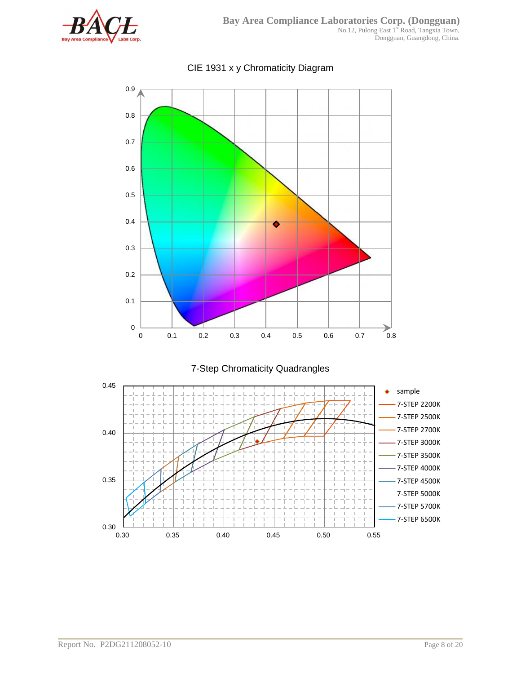



# CIE 1931 x y Chromaticity Diagram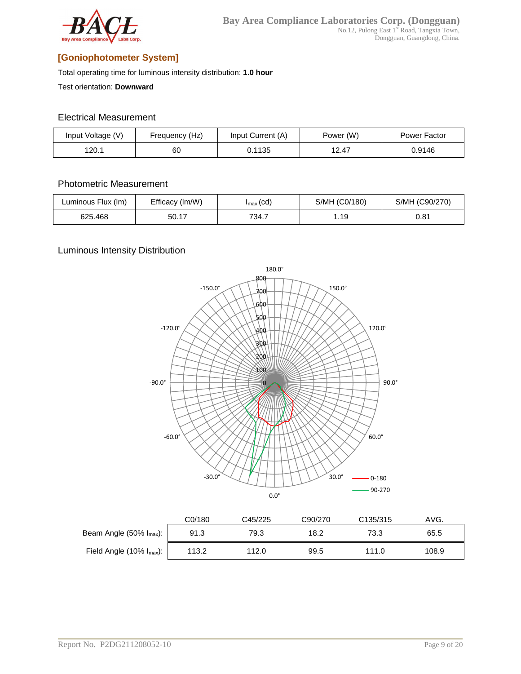

# **[Goniophotometer System]**

Total operating time for luminous intensity distribution: **1.0 hour**

Test orientation: **Downward**

#### Electrical Measurement

| Input Voltage (V) | Frequency (Hz) | Input Current (A) | Power (W) | Power Factor |
|-------------------|----------------|-------------------|-----------|--------------|
| 120.1             | 60             | 0.1135            | 12.47     | 0.9146       |

### Photometric Measurement

| Luminous Flux (Im) | Efficacy (Im/W)<br>$I_{\text{max}}(cd)$ |       | S/MH (C0/180) | S/MH (C90/270) |  |
|--------------------|-----------------------------------------|-------|---------------|----------------|--|
| 625.468            | 50.17                                   | 734.7 | 1.19          | 0.81           |  |

## Luminous Intensity Distribution



|                                   | C0/180 | C45/225 | C90/270 | C135/315 | AVG.  |
|-----------------------------------|--------|---------|---------|----------|-------|
| Beam Angle $(50\% \, I_{max})$ :  | 91.3   | 79.3    | 18.2    | 73.3     | 65.5  |
| Field Angle $(10\% \, I_{max})$ : | 113.2  | 112.0   | 99.5    | 111.0    | 108.9 |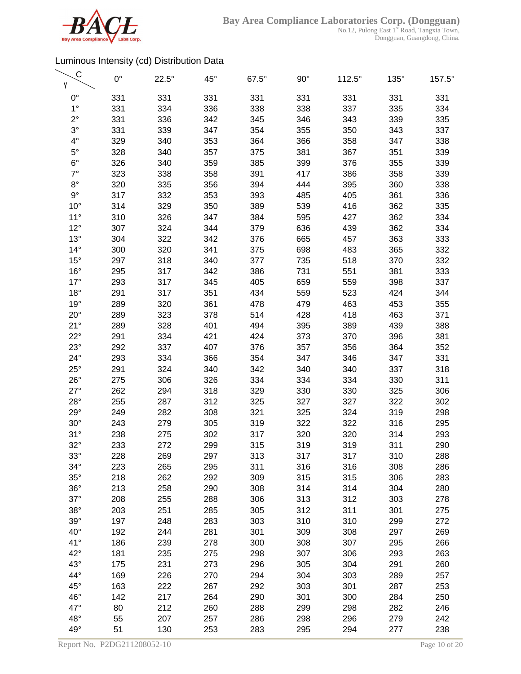

| C            | $0^{\circ}$ | $22.5^\circ$ | $45^{\circ}$ | $67.5^\circ$ | $90^{\circ}$ | $112.5^\circ$ | $135^\circ$ | 157.5° |
|--------------|-------------|--------------|--------------|--------------|--------------|---------------|-------------|--------|
| γ            |             |              |              |              |              |               |             |        |
| $0^{\circ}$  | 331         | 331          | 331          | 331          | 331          | 331           | 331         | 331    |
| $1^{\circ}$  | 331         | 334          | 336          | 338          | 338          | 337           | 335         | 334    |
| $2^{\circ}$  | 331         | 336          | 342          | 345          | 346          | 343           | 339         | 335    |
| $3^\circ$    | 331         | 339          | 347          | 354          | 355          | 350           | 343         | 337    |
| $4^\circ$    | 329         | 340          | 353          | 364          | 366          | 358           | 347         | 338    |
| $5^{\circ}$  | 328         | 340          | 357          | 375          | 381          | 367           | 351         | 339    |
| $6^{\circ}$  | 326         | 340          | 359          | 385          | 399          | 376           | 355         | 339    |
| $7^\circ$    | 323         | 338          | 358          | 391          | 417          | 386           | 358         | 339    |
| $8^{\circ}$  | 320         | 335          | 356          | 394          | 444          | 395           | 360         | 338    |
| $9^{\circ}$  | 317         | 332          | 353          | 393          | 485          | 405           | 361         | 336    |
| $10^{\circ}$ | 314         | 329          | 350          | 389          | 539          | 416           | 362         | 335    |
| $11^{\circ}$ | 310         | 326          | 347          | 384          | 595          | 427           | 362         | 334    |
| $12^{\circ}$ | 307         | 324          | 344          | 379          | 636          | 439           | 362         | 334    |
| $13^\circ$   | 304         | 322          | 342          | 376          | 665          | 457           | 363         | 333    |
| $14^{\circ}$ | 300         | 320          | 341          | 375          | 698          | 483           | 365         | 332    |
| $15^{\circ}$ | 297         | 318          | 340          | 377          | 735          | 518           | 370         | 332    |
| $16^{\circ}$ | 295         | 317          | 342          | 386          | 731          | 551           | 381         | 333    |
| $17^\circ$   | 293         | 317          | 345          | 405          | 659          | 559           | 398         | 337    |
| $18^{\circ}$ | 291         | 317          | 351          | 434          | 559          | 523           | 424         | 344    |
| $19^\circ$   | 289         | 320          | 361          | 478          | 479          | 463           | 453         | 355    |
| $20^{\circ}$ | 289         | 323          | 378          | 514          | 428          | 418           | 463         | 371    |
| 21°          | 289         | 328          | 401          | 494          | 395          | 389           | 439         | 388    |
| $22^{\circ}$ | 291         | 334          | 421          | 424          | 373          | 370           | 396         | 381    |
| $23^\circ$   | 292         | 337          | 407          | 376          | 357          | 356           | 364         | 352    |
| $24^{\circ}$ | 293         | 334          | 366          | 354          | 347          | 346           | 347         | 331    |
| $25^\circ$   | 291         | 324          | 340          | 342          | 340          | 340           | 337         | 318    |
| $26^{\circ}$ | 275         | 306          | 326          | 334          | 334          | 334           | 330         | 311    |
| $27^\circ$   | 262         | 294          | 318          | 329          | 330          | 330           | 325         | 306    |
| $28^\circ$   | 255         | 287          | 312          | 325          | 327          | 327           | 322         | 302    |
| $29^\circ$   | 249         | 282          | 308          | 321          | 325          | 324           | 319         | 298    |
| $30^\circ$   | 243         | 279          | 305          | 319          | 322          | 322           | 316         | 295    |
| 31°          | 238         | 275          | 302          | 317          | 320          | 320           | 314         | 293    |
| $32^\circ$   | 233         | 272          | 299          | 315          | 319          | 319           | 311         | 290    |
| $33^\circ$   | 228         | 269          | 297          | 313          | 317          | 317           | 310         | 288    |
| $34^\circ$   | 223         | 265          | 295          | 311          | 316          | 316           | 308         | 286    |
| $35^\circ$   | 218         | 262          | 292          | 309          | 315          | 315           | 306         | 283    |
| $36^\circ$   | 213         | 258          | 290          | 308          | 314          | 314           | 304         | 280    |
| $37^\circ$   | 208         | 255          | 288          | 306          | 313          | 312           | 303         | 278    |
| $38^\circ$   | 203         | 251          | 285          | 305          | 312          | 311           | 301         | 275    |
| $39^\circ$   | 197         | 248          | 283          | 303          | 310          | 310           | 299         | 272    |
| $40^{\circ}$ | 192         | 244          | 281          | 301          | 309          | 308           | 297         | 269    |
| 41°          | 186         | 239          | 278          | 300          | 308          | 307           | 295         | 266    |
| $42^{\circ}$ | 181         | 235          | 275          | 298          | 307          | 306           | 293         | 263    |
| $43^\circ$   | 175         | 231          | 273          | 296          | 305          | 304           | 291         | 260    |
| 44°          | 169         | 226          | 270          | 294          | 304          | 303           | 289         | 257    |
| $45^{\circ}$ | 163         | 222          | 267          | 292          | 303          | 301           | 287         | 253    |
| 46°          | 142         | 217          | 264          | 290          | 301          | 300           | 284         | 250    |
| $47^\circ$   | 80          | 212          | 260          | 288          | 299          | 298           | 282         | 246    |
| $48^\circ$   | 55          | 207          | 257          | 286          | 298          | 296           | 279         | 242    |
| $49^\circ$   | 51          | 130          | 253          | 283          | 295          | 294           | 277         | 238    |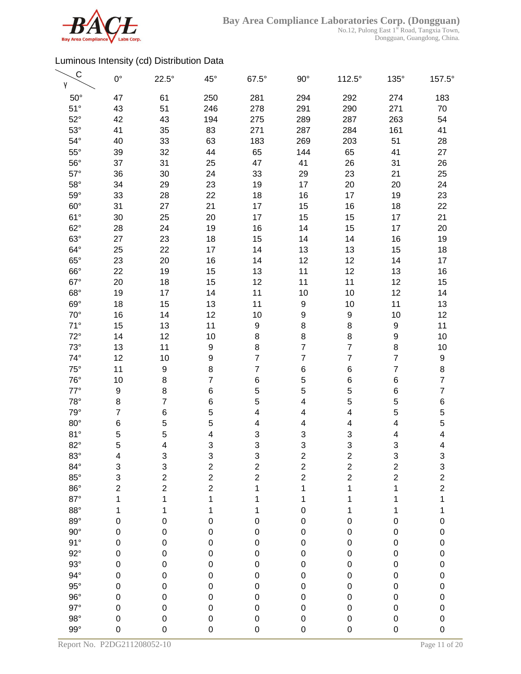

| $\mathsf C$<br>γ | $0^{\circ}$      | $22.5^\circ$            | $45^{\circ}$            | $67.5^\circ$   | $90^\circ$              | $112.5^\circ$           | $135^\circ$               | 157.5°         |
|------------------|------------------|-------------------------|-------------------------|----------------|-------------------------|-------------------------|---------------------------|----------------|
| $50^\circ$       | 47               | 61                      | 250                     | 281            | 294                     | 292                     | 274                       | 183            |
| $51^\circ$       | 43               | 51                      | 246                     | 278            | 291                     | 290                     | 271                       | 70             |
| $52^\circ$       | 42               | 43                      | 194                     | 275            | 289                     | 287                     | 263                       | 54             |
| $53^\circ$       | 41               | 35                      | 83                      | 271            | 287                     | 284                     | 161                       | 41             |
| $54^{\circ}$     | 40               | 33                      | 63                      | 183            | 269                     | 203                     | 51                        | 28             |
| $55^{\circ}$     | 39               | 32                      | 44                      | 65             | 144                     | 65                      | 41                        | 27             |
| $56^{\circ}$     | 37               | 31                      | 25                      | 47             | 41                      | 26                      | 31                        | 26             |
| $57^\circ$       | 36               | 30                      | 24                      | 33             | 29                      | 23                      | 21                        | 25             |
| $58^\circ$       | 34               | 29                      | 23                      | 19             | 17                      | 20                      | 20                        | 24             |
| $59^\circ$       | 33               | 28                      | 22                      | 18             | 16                      | 17                      | 19                        | 23             |
| $60^\circ$       | 31               | 27                      | 21                      | 17             | 15                      | 16                      | 18                        | 22             |
| $61^\circ$       | 30               | 25                      | 20                      | 17             | 15                      | 15                      | 17                        | 21             |
| $62^\circ$       | 28               | 24                      | 19                      | 16             | 14                      | 15                      | 17                        | 20             |
| $63^\circ$       | 27               | 23                      | 18                      | 15             | 14                      | 14                      | 16                        | 19             |
| $64^\circ$       | 25               | 22                      | 17                      | 14             | 13                      | 13                      | 15                        | 18             |
| $65^\circ$       | 23               | 20                      | 16                      | 14             | 12                      | 12                      | 14                        | 17             |
| $66^\circ$       | 22               | 19                      | 15                      | 13             | 11                      | 12                      | 13                        | 16             |
| $67^\circ$       | 20               | 18                      | 15                      | 12             | 11                      | 11                      | 12                        | 15             |
| $68^\circ$       | 19               | 17                      | 14                      | 11             | 10                      | 10                      | 12                        | 14             |
| $69^\circ$       | 18               | 15                      | 13                      | 11             | 9                       | 10                      | 11                        | 13             |
| $70^{\circ}$     | 16               | 14                      | 12                      | 10             | 9                       | 9                       | 10                        | 12             |
| $71^\circ$       | 15               | 13                      | 11                      | 9              | 8                       | 8                       | $\boldsymbol{9}$          | 11             |
| $72^\circ$       | 14               | 12                      | 10                      | 8              | 8                       | 8                       | 9                         | 10             |
| $73^\circ$       | 13               | 11                      | $\boldsymbol{9}$        | 8              | $\overline{\mathbf{7}}$ | $\overline{7}$          | 8                         | 10             |
| $74^\circ$       | 12               | 10                      | $\boldsymbol{9}$        | $\overline{7}$ | $\overline{7}$          | $\overline{7}$          | $\overline{7}$            | 9              |
| $75^{\circ}$     | 11               | $\boldsymbol{9}$        | 8                       | $\overline{7}$ | 6                       | 6                       | $\overline{7}$            | 8              |
| $76^{\circ}$     | 10               | 8                       | $\overline{7}$          | $\,6$          | 5                       | 6                       | $\,6$                     | $\overline{7}$ |
| $77^\circ$       | 9                | 8                       | 6                       | 5              | 5                       | 5                       | $\,$ 6 $\,$               | $\overline{7}$ |
| $78^\circ$       | 8                | $\overline{7}$          | 6                       | 5              | $\overline{\mathbf{4}}$ | 5                       | 5                         | 6              |
| $79^\circ$       | $\overline{7}$   | 6                       | 5                       | 4              | 4                       | 4                       | 5                         | 5              |
| $80^\circ$       | 6                | 5                       | 5                       | 4              | 4                       | 4                       | 4                         | 5              |
| 81°              | 5                | 5                       | 4                       | 3              | 3                       | 3                       | 4                         | 4              |
| $82^\circ$       | 5                | 4                       | 3                       | 3              | 3                       | 3                       | 3                         | 4              |
| $83^\circ$       | 4                | 3                       | 3                       | 3              | $\overline{\mathbf{c}}$ | $\overline{\mathbf{c}}$ | $\ensuremath{\mathsf{3}}$ | 3              |
| $84^\circ$       | 3                | 3                       | $\overline{\mathbf{c}}$ | $\overline{c}$ | $\frac{2}{2}$           | $\overline{c}$          | $\overline{c}$            | 3              |
| $85^\circ$       | 3                | $\overline{\mathbf{c}}$ | $\overline{c}$          | $\overline{c}$ |                         | $\overline{2}$          | $\overline{c}$            | $\frac{2}{2}$  |
| $86^\circ$       | $\overline{c}$   | $\overline{c}$          | $\overline{c}$          | 1              | 1                       | 1                       | 1                         |                |
| $87^\circ$       | 1                | 1                       | $\mathbf 1$             | 1              | 1                       | 1                       | 1                         | 1              |
| $88^\circ$       | 1                | 1                       | 1                       | 1              | $\mathbf 0$             | 1                       | 1                         | 1              |
| $89^\circ$       | $\pmb{0}$        | $\pmb{0}$               | $\pmb{0}$               | $\pmb{0}$      | $\mathbf 0$             | 0                       | $\mathbf 0$               | $\mathbf 0$    |
| $90^{\circ}$     | $\pmb{0}$        | $\pmb{0}$               | $\pmb{0}$               | $\mathbf 0$    | $\mathbf 0$             | 0                       | $\mathbf 0$               | $\mathbf 0$    |
| 91°              | $\mathbf 0$      | $\pmb{0}$               | $\mathbf 0$             | $\mathbf 0$    | $\pmb{0}$               | 0                       | $\pmb{0}$                 | $\mathbf 0$    |
| $92^\circ$       | $\boldsymbol{0}$ | $\pmb{0}$               | $\boldsymbol{0}$        | $\mathbf 0$    | $\pmb{0}$               | 0                       | $\pmb{0}$                 | $\mathbf 0$    |
| $93^\circ$       | $\mathbf 0$      | 0                       | $\boldsymbol{0}$        | $\mathbf 0$    | $\mathbf 0$             | 0                       | $\pmb{0}$                 | $\mathbf 0$    |
| $94^\circ$       | $\boldsymbol{0}$ | $\pmb{0}$               | $\mathbf 0$             | $\mathbf 0$    | $\mathbf 0$             | 0                       | $\pmb{0}$                 | $\mathbf{0}$   |
| $95^\circ$       | $\mathbf 0$      | $\pmb{0}$               | $\mathbf 0$             | $\mathbf 0$    | $\pmb{0}$               | 0                       | $\pmb{0}$                 | $\mathbf{0}$   |
| $96^{\circ}$     | $\mathbf 0$      | $\pmb{0}$               | $\mathbf 0$             | $\mathbf 0$    | $\mathbf 0$             | 0                       | $\pmb{0}$                 | $\mathbf{0}$   |
| $97^\circ$       | $\pmb{0}$        | $\pmb{0}$               | $\pmb{0}$               | $\mathbf 0$    | $\mathbf 0$             | 0                       | $\pmb{0}$                 | $\mathbf 0$    |
| $98^\circ$       | $\pmb{0}$        | $\mathbf 0$             | $\pmb{0}$               | $\mathbf 0$    | $\pmb{0}$               | 0                       | $\mathbf 0$               | $\mathbf 0$    |
| $99^\circ$       | $\mathbf 0$      | 0                       | $\mathbf 0$             | $\mathsf 0$    | 0                       | 0                       | $\mathbf 0$               | $\mathbf 0$    |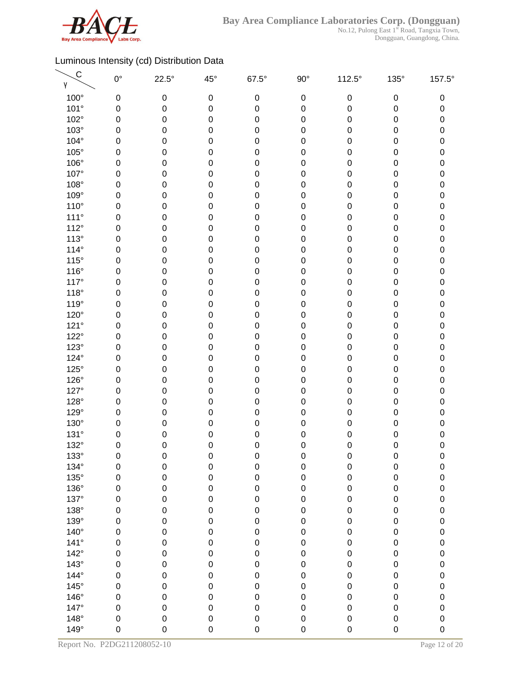

No.12, Pulong East 1<sup>st</sup> Road, Tangxia Town, Dongguan, Guangdong, China.

| $\mathsf{C}$<br>γ | $0^{\circ}$      | $22.5^\circ$ | $45^{\circ}$     | $67.5^\circ$ | $90^\circ$  | 112.5°    | 135°             | 157.5°      |
|-------------------|------------------|--------------|------------------|--------------|-------------|-----------|------------------|-------------|
| $100^\circ$       | 0                | 0            | $\pmb{0}$        | $\mathbf 0$  | $\pmb{0}$   | $\pmb{0}$ | $\pmb{0}$        | 0           |
| 101°              | 0                | $\pmb{0}$    | 0                | $\mathbf 0$  | $\mathbf 0$ | 0         | $\pmb{0}$        | 0           |
| 102°              | 0                | 0            | 0                | 0            | $\pmb{0}$   | 0         | $\pmb{0}$        | $\pmb{0}$   |
| $103^\circ$       | 0                | 0            | $\mathbf 0$      | 0            | $\pmb{0}$   | 0         | 0                | 0           |
| 104°              | 0                | 0            | 0                | 0            | $\mathbf 0$ | 0         | 0                | $\pmb{0}$   |
| $105^\circ$       | 0                | 0            | 0                | 0            | $\pmb{0}$   | 0         | 0                | 0           |
| 106°              | 0                | 0            | 0                | 0            | $\pmb{0}$   | 0         | $\pmb{0}$        | $\pmb{0}$   |
| 107°              | 0                | 0            | $\boldsymbol{0}$ | 0            | $\pmb{0}$   | 0         | $\pmb{0}$        | 0           |
| 108°              | 0                | $\pmb{0}$    | 0                | 0            | $\pmb{0}$   | 0         | $\pmb{0}$        | $\pmb{0}$   |
| 109°              | 0                | $\pmb{0}$    | 0                | 0            | $\mathbf 0$ | 0         | $\pmb{0}$        | $\pmb{0}$   |
| $110^{\circ}$     | 0                | 0            | 0                | 0            | $\pmb{0}$   | 0         | $\pmb{0}$        | $\pmb{0}$   |
| $111^\circ$       | 0                | 0            | $\boldsymbol{0}$ | 0            | $\pmb{0}$   | 0         | 0                | 0           |
| $112^\circ$       | 0                | 0            | 0                | 0            | $\mathbf 0$ | 0         | 0                | $\pmb{0}$   |
| 113°              | 0                | 0            | 0                | 0            | $\mathbf 0$ | 0         | 0                | 0           |
| $114^\circ$       | 0                | 0            | 0                | 0            | $\pmb{0}$   | 0         | 0                | $\pmb{0}$   |
| $115^\circ$       | 0                | 0            | $\boldsymbol{0}$ | 0            | $\mathbf 0$ | 0         | $\pmb{0}$        | 0           |
| $116^\circ$       | $\boldsymbol{0}$ | 0            | $\mathbf 0$      | 0            | $\mathbf 0$ | 0         | $\pmb{0}$        | $\pmb{0}$   |
| 117°              | 0                | 0            | 0                | 0            | $\mathbf 0$ | 0         | $\pmb{0}$        | 0           |
| $118^\circ$       | 0                | 0            | 0                | 0            | $\pmb{0}$   | 0         | $\pmb{0}$        | $\pmb{0}$   |
| 119°              | 0                | 0            | $\boldsymbol{0}$ | 0            | $\mathbf 0$ | 0         | $\pmb{0}$        | 0           |
| 120°              | 0                | 0            | 0                | 0            | $\mathbf 0$ | 0         | 0                | $\pmb{0}$   |
| 121°              | 0                | 0            | 0                | 0            | $\mathbf 0$ | 0         | $\pmb{0}$        | 0           |
| $122^\circ$       | 0                | 0            | 0                | 0            | $\mathbf 0$ | 0         | $\pmb{0}$        | $\pmb{0}$   |
| $123^\circ$       | 0                | 0            | $\boldsymbol{0}$ | 0            | $\mathbf 0$ | 0         | $\pmb{0}$        | 0           |
| 124°              | $\mathbf 0$      | $\pmb{0}$    | 0                | 0            | $\pmb{0}$   | 0         | $\pmb{0}$        | $\pmb{0}$   |
| $125^\circ$       | 0                | $\pmb{0}$    | 0                | 0            | $\mathbf 0$ | 0         | $\pmb{0}$        | $\pmb{0}$   |
| $126^\circ$       | 0                | 0            | 0                | 0            | $\mathbf 0$ | 0         | $\pmb{0}$        | $\pmb{0}$   |
| 127°              | 0                | 0            | $\mathbf 0$      | 0            | $\mathbf 0$ | 0         | 0                | 0           |
| 128°              | 0                | 0            | 0                | 0            | $\mathbf 0$ | 0         | 0                | 0           |
| 129°              | 0                | 0            | 0                | 0            | $\mathbf 0$ | 0         | 0                | 0           |
| 130°              | 0                | 0            | 0                | 0            | $\pmb{0}$   | 0         | 0                | 0           |
| 131°              | 0                | 0            | $\mathbf 0$      | 0            | $\mathbf 0$ | 0         | $\pmb{0}$        | 0           |
| 132°              | $\mathbf 0$      | 0            | $\mathbf 0$      | 0            | 0           | 0         | $\mathbf 0$      | $\mathbf 0$ |
| $133^\circ$       | 0                | 0            | $\boldsymbol{0}$ | $\pmb{0}$    | $\pmb{0}$   | $\pmb{0}$ | $\pmb{0}$        | $\pmb{0}$   |
| 134°              | $\mathbf 0$      | $\mathbf 0$  | $\mathbf 0$      | $\mathsf 0$  | $\mathbf 0$ | 0         | $\mathbf 0$      | $\pmb{0}$   |
| $135^\circ$       | $\mathbf 0$      | $\pmb{0}$    | $\mathbf 0$      | $\mathsf 0$  | $\mathbf 0$ | 0         | $\pmb{0}$        | 0           |
| 136°              | $\mathbf 0$      | $\pmb{0}$    | $\mathbf 0$      | $\mathsf 0$  | $\pmb{0}$   | 0         | $\boldsymbol{0}$ | $\mathbf 0$ |
| 137°              | 0                | $\pmb{0}$    | $\mathbf 0$      | $\mathsf 0$  | $\pmb{0}$   | 0         | $\boldsymbol{0}$ | 0           |
| 138°              | $\mathbf 0$      | $\pmb{0}$    | $\mathbf 0$      | $\mathsf 0$  | $\pmb{0}$   | 0         | $\pmb{0}$        | $\mathbf 0$ |
| 139°              | 0                | $\pmb{0}$    | $\mathbf 0$      | $\mathbf 0$  | $\pmb{0}$   | 0         | $\pmb{0}$        | $\mathbf 0$ |
| $140^\circ$       | $\mathbf 0$      | $\mathbf 0$  | $\mathbf 0$      | $\mathsf 0$  | $\pmb{0}$   | 0         | $\pmb{0}$        | 0           |
| $141^\circ$       | $\mathbf 0$      | $\mathbf 0$  | $\mathbf 0$      | $\mathsf 0$  | $\pmb{0}$   | 0         | $\pmb{0}$        | $\pmb{0}$   |
| $142^\circ$       | $\mathsf 0$      | $\mathbf 0$  | $\mathbf 0$      | $\mathbf 0$  | $\mathbf 0$ | 0         | $\pmb{0}$        | $\pmb{0}$   |
| $143^\circ$       | $\mathbf 0$      | 0            | $\mathbf 0$      | $\mathsf 0$  | $\mathbf 0$ | 0         | $\pmb{0}$        | $\pmb{0}$   |
| 144°              | $\mathbf 0$      | $\pmb{0}$    | $\mathbf 0$      | $\mathbf 0$  | $\pmb{0}$   | 0         | $\pmb{0}$        | 0           |
| $145^\circ$       | $\mathbf 0$      | $\pmb{0}$    | $\mathbf 0$      | $\mathbf 0$  | $\pmb{0}$   | 0         | $\pmb{0}$        | 0           |
| 146°              | $\mathbf 0$      | $\mathbf 0$  | $\mathbf 0$      | $\mathbf 0$  | $\mathbf 0$ | 0         | $\pmb{0}$        | $\mathbf 0$ |
| 147°              | $\mathbf 0$      | $\pmb{0}$    | $\mathbf 0$      | 0            | $\mathbf 0$ | 0         | $\pmb{0}$        | $\mathbf 0$ |
| $148^\circ$       | $\mathbf 0$      | $\pmb{0}$    | $\pmb{0}$        | $\mathsf 0$  | $\pmb{0}$   | 0         | $\pmb{0}$        | 0           |
| 149°              | $\mathbf 0$      | 0            | $\mathbf 0$      | 0            | $\mathbf 0$ | 0         | $\mathbf 0$      | $\mathbf 0$ |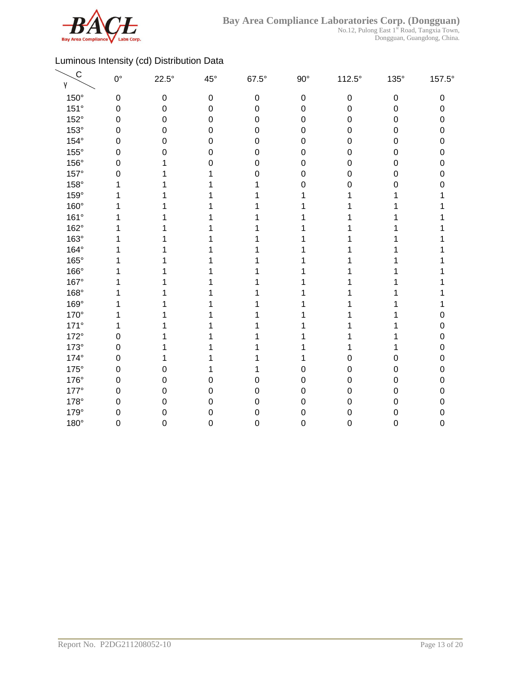

No.12, Pulong East 1<sup>st</sup> Road, Tangxia Town, Dongguan, Guangdong, China.

| $\mathsf C$<br>γ | $0^{\circ}$      | $22.5^\circ$ | $45^{\circ}$     | $67.5^\circ$     | $90^{\circ}$     | $112.5^\circ$    | $135^\circ$      | 157.5° |
|------------------|------------------|--------------|------------------|------------------|------------------|------------------|------------------|--------|
| $150^\circ$      | $\boldsymbol{0}$ | $\pmb{0}$    | $\boldsymbol{0}$ | $\,0\,$          | $\boldsymbol{0}$ | $\boldsymbol{0}$ | $\pmb{0}$        | 0      |
| 151°             | $\boldsymbol{0}$ | 0            | $\mathbf 0$      | $\mathbf 0$      | $\mathbf 0$      | 0                | $\boldsymbol{0}$ | 0      |
| 152°             | $\mathbf 0$      | 0            | $\mathbf 0$      | $\mathbf 0$      | $\boldsymbol{0}$ | 0                | $\boldsymbol{0}$ | 0      |
| 153°             | $\mathbf 0$      | 0            | 0                | $\boldsymbol{0}$ | $\boldsymbol{0}$ | 0                | $\boldsymbol{0}$ | 0      |
| $154^\circ$      | $\mathbf 0$      | 0            | 0                | $\mathbf 0$      | 0                | 0                | 0                | 0      |
| 155°             | 0                | 0            | 0                | 0                | 0                | 0                | $\mathbf 0$      | 0      |
| 156°             | $\mathbf 0$      |              | 0                | $\mathbf 0$      | 0                | 0                | $\boldsymbol{0}$ | 0      |
| 157°             | $\mathbf 0$      |              |                  | $\mathbf 0$      | $\boldsymbol{0}$ | 0                | $\mathbf 0$      | 0      |
| 158°             | 1                |              |                  |                  | 0                | 0                | 0                | n      |
| 159°             | 1                |              |                  |                  |                  |                  |                  |        |
| 160°             | 1                |              |                  |                  |                  |                  |                  |        |
| 161°             | 1                |              |                  |                  |                  |                  |                  |        |
| 162°             |                  |              |                  |                  |                  |                  |                  |        |
| 163°             |                  |              |                  |                  |                  |                  |                  |        |
| 164°             |                  |              |                  |                  |                  |                  |                  |        |
| 165°             |                  |              |                  |                  |                  |                  |                  |        |
| 166°             |                  |              |                  |                  |                  |                  |                  |        |
| 167°             |                  |              |                  |                  |                  |                  |                  |        |
| 168°             |                  |              |                  |                  |                  |                  |                  |        |
| 169°             | 1                |              |                  |                  |                  |                  |                  |        |
| 170°             |                  |              |                  |                  |                  |                  |                  | 0      |
| $171^\circ$      | 1                |              |                  |                  |                  |                  |                  | 0      |
| 172°             | $\mathbf 0$      |              |                  |                  |                  |                  |                  | 0      |
| $173^\circ$      | $\mathbf 0$      |              |                  |                  |                  |                  |                  | 0      |
| 174°             | $\mathbf 0$      | 1            |                  |                  | 1                | 0                | 0                | 0      |
| $175^\circ$      | $\mathbf 0$      | 0            |                  |                  | 0                | 0                | 0                | 0      |
| 176°             | $\mathbf 0$      | 0            | 0                | 0                | $\boldsymbol{0}$ | 0                | $\mathbf 0$      | 0      |
| $177^\circ$      | $\mathbf 0$      | 0            | $\mathbf 0$      | $\mathbf 0$      | $\boldsymbol{0}$ | 0                | $\mathbf 0$      | 0      |
| 178°             | $\mathbf 0$      | 0            | 0                | $\boldsymbol{0}$ | $\boldsymbol{0}$ | 0                | $\mathbf 0$      | 0      |
| 179°             | $\mathbf 0$      | 0            | 0                | $\mathbf 0$      | 0                | 0                | $\mathbf 0$      | 0      |
| 180°             | $\mathbf 0$      | 0            | 0                | $\mathbf 0$      | 0                | 0                | $\boldsymbol{0}$ | 0      |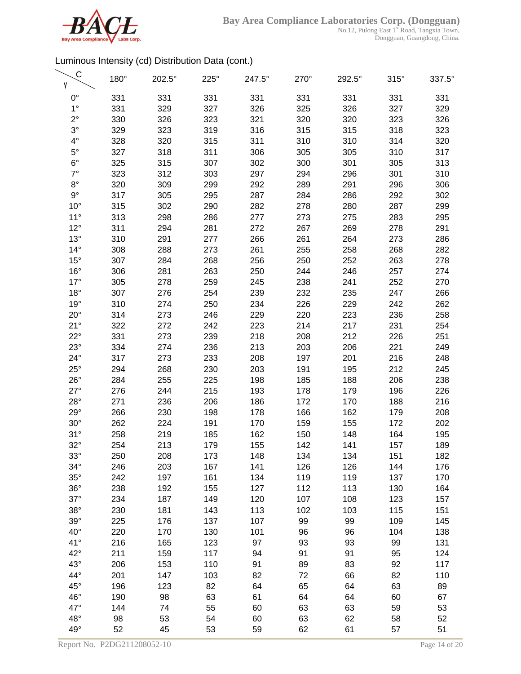

No.12, Pulong East 1<sup>st</sup> Road, Tangxia Town, Dongguan, Guangdong, China.

| C<br>γ       | 180° | 202.5° | 225° | 247.5° | 270° | 292.5° | $315^\circ$ | 337.5° |
|--------------|------|--------|------|--------|------|--------|-------------|--------|
| $0^{\circ}$  | 331  | 331    | 331  | 331    | 331  | 331    | 331         | 331    |
| $1^{\circ}$  | 331  | 329    | 327  | 326    | 325  | 326    | 327         | 329    |
| $2^{\circ}$  | 330  | 326    | 323  | 321    | 320  | 320    | 323         | 326    |
| $3^\circ$    | 329  | 323    | 319  | 316    | 315  | 315    | 318         | 323    |
| $4^{\circ}$  | 328  | 320    | 315  | 311    | 310  | 310    | 314         | 320    |
| $5^{\circ}$  | 327  | 318    | 311  | 306    | 305  | 305    | 310         | 317    |
| $6^{\circ}$  | 325  | 315    | 307  | 302    | 300  | 301    | 305         | 313    |
| $7^\circ$    | 323  | 312    | 303  | 297    | 294  | 296    | 301         | 310    |
| $8^{\circ}$  | 320  | 309    | 299  | 292    | 289  | 291    | 296         | 306    |
| $9^{\circ}$  | 317  | 305    | 295  | 287    | 284  | 286    | 292         | 302    |
| $10^{\circ}$ | 315  | 302    | 290  | 282    | 278  | 280    | 287         | 299    |
| $11^{\circ}$ | 313  | 298    | 286  | 277    | 273  | 275    | 283         | 295    |
| $12^{\circ}$ | 311  | 294    | 281  | 272    | 267  | 269    | 278         | 291    |
| $13^\circ$   | 310  | 291    | 277  | 266    | 261  | 264    | 273         | 286    |
| $14^{\circ}$ | 308  | 288    | 273  | 261    | 255  | 258    | 268         | 282    |
| $15^{\circ}$ | 307  | 284    | 268  | 256    | 250  | 252    | 263         | 278    |
| $16^{\circ}$ | 306  | 281    | 263  | 250    | 244  | 246    | 257         | 274    |
| $17^\circ$   | 305  | 278    | 259  | 245    | 238  | 241    | 252         | 270    |
| $18^{\circ}$ | 307  | 276    | 254  | 239    | 232  | 235    | 247         | 266    |
| 19°          | 310  | 274    | 250  | 234    | 226  | 229    | 242         | 262    |
| $20^{\circ}$ | 314  | 273    | 246  | 229    | 220  | 223    | 236         | 258    |
| $21^{\circ}$ | 322  | 272    | 242  | 223    | 214  | 217    | 231         | 254    |
| $22^{\circ}$ | 331  | 273    | 239  | 218    | 208  | 212    | 226         | 251    |
| $23^\circ$   | 334  | 274    | 236  | 213    | 203  | 206    | 221         | 249    |
| $24^{\circ}$ | 317  | 273    | 233  | 208    | 197  | 201    | 216         | 248    |
| $25^{\circ}$ | 294  | 268    | 230  | 203    | 191  | 195    | 212         | 245    |
| $26^{\circ}$ | 284  | 255    | 225  | 198    | 185  | 188    | 206         | 238    |
| $27^\circ$   | 276  | 244    | 215  | 193    | 178  | 179    | 196         | 226    |
| $28^\circ$   | 271  | 236    | 206  | 186    | 172  | 170    | 188         | 216    |
| $29^\circ$   | 266  | 230    | 198  | 178    | 166  | 162    | 179         | 208    |
| $30^\circ$   | 262  | 224    | 191  | 170    | 159  | 155    | 172         | 202    |
| 31°          | 258  | 219    | 185  | 162    | 150  | 148    | 164         | 195    |
| $32^\circ$   | 254  | 213    | 179  | 155    | 142  | 141    | 157         | 189    |
| $33^\circ$   | 250  | 208    | 173  | 148    | 134  | 134    | 151         | 182    |
| $34^\circ$   | 246  | 203    | 167  | 141    | 126  | 126    | 144         | 176    |
| $35^\circ$   | 242  | 197    | 161  | 134    | 119  | 119    | 137         | 170    |
| $36^\circ$   | 238  | 192    | 155  | 127    | 112  | 113    | 130         | 164    |
| $37^\circ$   | 234  | 187    | 149  | 120    | 107  | 108    | 123         | 157    |
| $38^\circ$   | 230  | 181    | 143  | 113    | 102  | 103    | 115         | 151    |
| $39^\circ$   | 225  | 176    | 137  | 107    | 99   | 99     | 109         | 145    |
| $40^{\circ}$ | 220  | 170    | 130  | 101    | 96   | 96     | 104         | 138    |
| $41^{\circ}$ | 216  | 165    | 123  | 97     | 93   | 93     | 99          | 131    |
| $42^{\circ}$ | 211  | 159    | 117  | 94     | 91   | 91     | 95          | 124    |
| $43^\circ$   | 206  | 153    | 110  | 91     | 89   | 83     | 92          | 117    |
| 44°          | 201  | 147    | 103  | 82     | 72   | 66     | 82          | 110    |
| $45^{\circ}$ | 196  | 123    | 82   | 64     | 65   | 64     | 63          | 89     |
| 46°          | 190  | 98     | 63   | 61     | 64   | 64     | 60          | 67     |
| 47°          | 144  | 74     | 55   | 60     | 63   | 63     | 59          | 53     |
| $48^\circ$   | 98   | 53     | 54   | 60     | 63   | 62     | 58          | 52     |
| 49°          | 52   | 45     | 53   | 59     | 62   | 61     | 57          | 51     |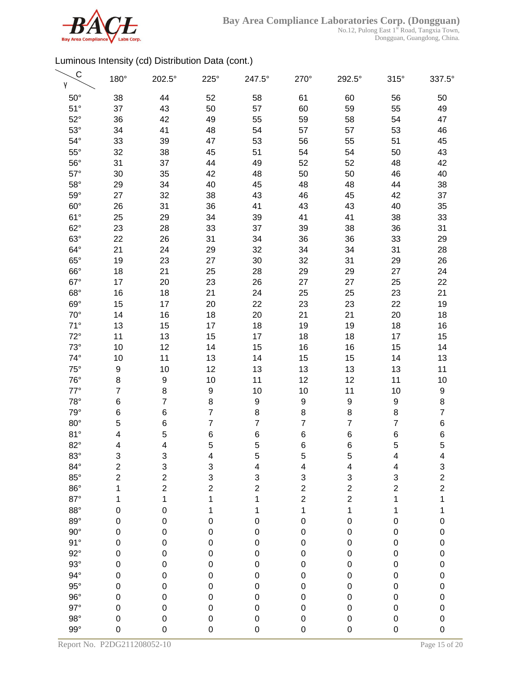

| C<br>γ       | 180°                      | 202.5°                  | $225^\circ$      | 247.5°         | 270°                    | 292.5°         | $315^\circ$             | 337.5°         |
|--------------|---------------------------|-------------------------|------------------|----------------|-------------------------|----------------|-------------------------|----------------|
| $50^\circ$   | 38                        | 44                      | 52               | 58             | 61                      | 60             | 56                      | 50             |
| $51^\circ$   | 37                        | 43                      | 50               | 57             | 60                      | 59             | 55                      | 49             |
| $52^\circ$   | 36                        | 42                      | 49               | 55             | 59                      | 58             | 54                      | 47             |
| $53^\circ$   | 34                        | 41                      | 48               | 54             | 57                      | 57             | 53                      | 46             |
| $54^\circ$   | 33                        | 39                      | 47               | 53             | 56                      | 55             | 51                      | 45             |
| $55^{\circ}$ | 32                        | 38                      | 45               | 51             | 54                      | 54             | 50                      | 43             |
| $56^{\circ}$ | 31                        | 37                      | 44               | 49             | 52                      | 52             | 48                      | 42             |
| $57^\circ$   | 30                        | 35                      | 42               | 48             | 50                      | 50             | 46                      | 40             |
| $58^\circ$   | 29                        | 34                      | 40               | 45             | 48                      | 48             | 44                      | 38             |
| $59^\circ$   | 27                        | 32                      | 38               | 43             | 46                      | 45             | 42                      | 37             |
| $60^\circ$   | 26                        | 31                      | 36               | 41             | 43                      | 43             | 40                      | 35             |
| $61^\circ$   | 25                        | 29                      | 34               | 39             | 41                      | 41             | 38                      | 33             |
| $62^\circ$   | 23                        | 28                      | 33               | 37             | 39                      | 38             | 36                      | 31             |
| $63^\circ$   | 22                        | 26                      | 31               | 34             | 36                      | 36             | 33                      | 29             |
| $64^\circ$   | 21                        | 24                      | 29               | 32             | 34                      | 34             | 31                      | 28             |
| $65^\circ$   | 19                        | 23                      | 27               | 30             | 32                      | 31             | 29                      | 26             |
| $66^\circ$   | 18                        | 21                      | 25               | 28             | 29                      | 29             | 27                      | 24             |
| $67^\circ$   | 17                        | 20                      | 23               | 26             | 27                      | 27             | 25                      | 22             |
| $68^\circ$   | 16                        | 18                      | 21               | 24             | 25                      | 25             | 23                      | 21             |
| $69^\circ$   | 15                        | 17                      | 20               | 22             | 23                      | 23             | 22                      | 19             |
| $70^{\circ}$ | 14                        | 16                      | 18               | 20             | 21                      | 21             | 20                      | 18             |
| $71^\circ$   | 13                        | 15                      | 17               | 18             | 19                      | 19             | 18                      | 16             |
| $72^\circ$   | 11                        | 13                      | 15               | 17             | 18                      | 18             | 17                      | 15             |
| $73^\circ$   | 10                        | 12                      | 14               | 15             | 16                      | 16             | 15                      | 14             |
| $74^\circ$   | 10                        | 11                      | 13               | 14             | 15                      | 15             | 14                      | 13             |
| $75^{\circ}$ | $\boldsymbol{9}$          | 10                      | 12               | 13             | 13                      | 13             | 13                      | 11             |
| $76^{\circ}$ | 8                         | $\boldsymbol{9}$        | 10               | 11             | 12                      | 12             | 11                      | 10             |
| $77^\circ$   | $\overline{7}$            | 8                       | $\boldsymbol{9}$ | 10             | 10                      | 11             | 10                      | 9              |
| $78^\circ$   | 6                         | $\overline{7}$          | 8                | 9              | 9                       | 9              | 9                       | 8              |
| $79^\circ$   | 6                         | 6                       | $\overline{7}$   | 8              | 8                       | 8              | 8                       | $\overline{7}$ |
| $80^\circ$   | 5                         | 6                       | $\overline{7}$   | 7              | 7                       | $\overline{7}$ | $\overline{7}$          | 6              |
| 81°          | 4                         | 5                       | 6                | 6              | 6                       | 6              | 6                       | 6              |
| $82^\circ$   | $\overline{\mathbf{4}}$   | 4                       | 5                | 5              | $\,6$                   | 6              | 5                       | 5              |
| $83^\circ$   | $\ensuremath{\mathsf{3}}$ | 3                       | 4                | 5              | 5                       | 5              | 4                       | 4              |
| $84^\circ$   | $\overline{c}$            | 3                       | 3                | 4              | $\overline{\mathbf{4}}$ | 4              | 4                       | 3              |
| $85^\circ$   | $\overline{c}$            | $\overline{\mathbf{c}}$ | 3                | 3              | 3                       | 3              | 3                       |                |
| $86^\circ$   | 1                         | $\overline{c}$          | $\overline{c}$   | $\overline{c}$ | $\overline{\mathbf{c}}$ | $\overline{c}$ | $\overline{\mathbf{c}}$ | $\frac{2}{2}$  |
| $87^\circ$   | 1                         | 1                       | $\mathbf 1$      | 1              | $\overline{c}$          | $\overline{c}$ | 1                       | $\mathbf 1$    |
| $88^\circ$   | $\pmb{0}$                 | $\pmb{0}$               | 1                | 1              | $\mathbf 1$             | 1              | 1                       | 1              |
| $89^\circ$   | $\pmb{0}$                 | $\pmb{0}$               | $\pmb{0}$        | $\pmb{0}$      | $\pmb{0}$               | 0              | $\pmb{0}$               | $\mathbf 0$    |
| $90^{\circ}$ | $\pmb{0}$                 | $\pmb{0}$               | $\pmb{0}$        | $\mathbf 0$    | $\mathbf 0$             | 0              | $\pmb{0}$               | $\mathbf 0$    |
| 91°          | $\mathbf 0$               | $\pmb{0}$               | $\mathbf 0$      | $\mathbf 0$    | $\pmb{0}$               | 0              | $\pmb{0}$               | $\mathbf{0}$   |
| $92^\circ$   | $\boldsymbol{0}$          | $\pmb{0}$               | $\boldsymbol{0}$ | $\mathbf 0$    | $\pmb{0}$               | 0              | $\pmb{0}$               | $\mathbf 0$    |
| $93^\circ$   | $\mathbf 0$               | 0                       | $\boldsymbol{0}$ | $\mathbf 0$    | $\mathbf 0$             | 0              | $\pmb{0}$               | $\mathbf{0}$   |
| $94^\circ$   | $\boldsymbol{0}$          | $\pmb{0}$               | $\mathbf 0$      | $\mathbf 0$    | $\mathbf 0$             | 0              | $\pmb{0}$               | $\mathbf{0}$   |
| $95^\circ$   | $\mathbf 0$               | $\pmb{0}$               | $\mathbf 0$      | $\mathbf 0$    | $\pmb{0}$               | 0              | $\pmb{0}$               | $\mathbf{0}$   |
| $96^{\circ}$ | $\mathbf 0$               | $\pmb{0}$               | $\mathbf 0$      | $\mathbf 0$    | $\mathbf 0$             | 0              | $\pmb{0}$               | $\mathbf{0}$   |
| $97^\circ$   | $\pmb{0}$                 | $\pmb{0}$               | $\pmb{0}$        | $\mathbf 0$    | $\mathbf 0$             | 0              | $\pmb{0}$               | $\mathbf 0$    |
| $98^\circ$   | $\pmb{0}$                 | $\mathbf 0$             | $\pmb{0}$        | $\mathsf 0$    | $\pmb{0}$               | 0              | $\mathbf 0$             | $\mathbf 0$    |
| $99^\circ$   | 0                         | 0                       | $\mathbf 0$      | 0              | $\mathbf 0$             | 0              | $\mathbf 0$             | $\mathbf 0$    |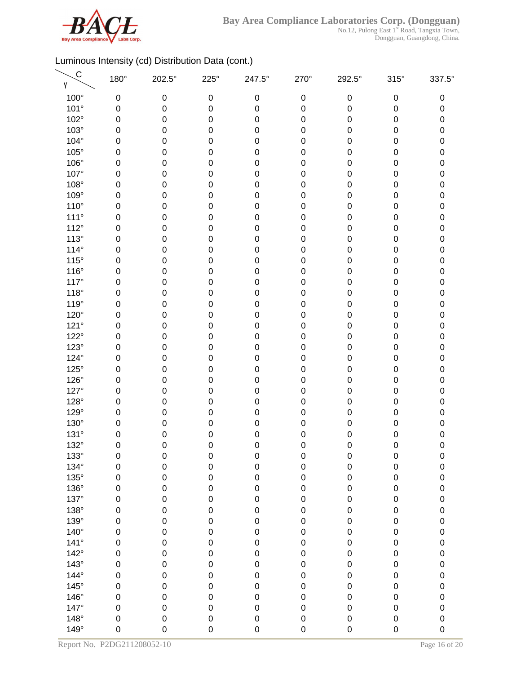

No.12, Pulong East 1<sup>st</sup> Road, Tangxia Town, Dongguan, Guangdong, China.

| 100°<br>0<br>0<br>$\boldsymbol{0}$<br>$\boldsymbol{0}$<br>$\pmb{0}$<br>$\pmb{0}$<br>$\pmb{0}$<br>101°<br>$\mathbf 0$<br>$\boldsymbol{0}$<br>0<br>$\pmb{0}$<br>0<br>0<br>0<br>102°<br>0<br>$\boldsymbol{0}$<br>0<br>$\pmb{0}$<br>0<br>0<br>0<br>$103^\circ$<br>0<br>0<br>$\pmb{0}$<br>0<br>0<br>0<br>$\mathbf 0$<br>104°<br>0<br>0<br>0<br>0<br>$\pmb{0}$<br>0<br>0<br>$105^\circ$<br>0<br>0<br>0<br>$\pmb{0}$<br>0<br>$\boldsymbol{0}$<br>0<br>106°<br>0<br>0<br>$\mathbf 0$<br>0<br>$\pmb{0}$<br>0<br>$\pmb{0}$<br>107°<br>0<br>$\mathbf 0$<br>$\mathbf 0$<br>0<br>0<br>0<br>$\pmb{0}$<br>108°<br>$\mathbf 0$<br>0<br>$\pmb{0}$<br>0<br>0<br>0<br>$\pmb{0}$<br>109°<br>0<br>0<br>0<br>$\pmb{0}$<br>0<br>0<br>0<br>$110^{\circ}$<br>0<br>$\boldsymbol{0}$<br>0<br>$\pmb{0}$<br>0<br>0<br>0<br>$111^\circ$<br>0<br>0<br>0<br>$\mathbf 0$<br>0<br>0<br>$\mathbf 0$<br>112°<br>0<br>0<br>0<br>$\mathbf 0$<br>0<br>0<br>0<br>$113^\circ$<br>0<br>0<br>0<br>$\pmb{0}$<br>0<br>0<br>$\mathbf 0$<br>$114^\circ$<br>0<br>$\boldsymbol{0}$<br>0<br>$\mathbf 0$<br>0<br>0<br>0<br>$115^\circ$<br>0<br>$\pmb{0}$<br>$\mathbf 0$<br>$\pmb{0}$<br>0<br>0<br>$\pmb{0}$<br>$116^\circ$<br>$\mathbf 0$<br>0<br>0<br>0<br>0<br>0<br>$\pmb{0}$<br>$117^\circ$<br>0<br>0<br>0<br>$\pmb{0}$<br>0<br>0<br>0<br>$118^\circ$<br>0<br>$\boldsymbol{0}$<br>0<br>$\pmb{0}$<br>0<br>0<br>0<br>119°<br>0<br>0<br>0<br>$\mathbf 0$<br>0<br>0<br>0<br>120°<br>0<br>0<br>0<br>$\pmb{0}$<br>0<br>0<br>0<br>121°<br>0<br>0<br>0<br>$\mathbf 0$<br>0<br>0<br>$\mathbf 0$<br>$122^\circ$<br>$\mathbf 0$<br>0<br>$\mathbf 0$<br>0<br>$\mathbf 0$<br>0<br>$\pmb{0}$<br>$123^\circ$<br>$\mathbf 0$<br>$\mathbf 0$<br>0<br>0<br>0<br>0<br>$\pmb{0}$<br>124°<br>$\mathbf 0$<br>0<br>$\pmb{0}$<br>0<br>0<br>0<br>$\pmb{0}$<br>$125^\circ$<br>0<br>0<br>0<br>$\mathbf 0$<br>0<br>0<br>0<br>126°<br>0<br>$\mathbf 0$<br>0<br>$\mathbf 0$<br>0<br>0<br>0<br>127°<br>0<br>0<br>0<br>$\mathbf 0$<br>0<br>0<br>$\mathbf 0$<br>128°<br>0<br>0<br>0<br>$\mathbf 0$<br>0<br>0<br>0<br>129°<br>0<br>0<br>0<br>$\mathbf 0$<br>0<br>0<br>$\mathbf 0$<br>130°<br>0<br>$\mathbf 0$<br>0<br>0<br>0<br>0<br>0<br>131°<br>0<br>$\mathbf 0$<br>$\mathbf 0$<br>0<br>$\mathbf 0$<br>0<br>0<br>132°<br>$\mathbf 0$<br>0<br>$\mathbf 0$<br>0<br>0<br>0<br>0<br>133°<br>0<br>0<br>$\boldsymbol{0}$<br>0<br>$\mathbf 0$<br>$\mathbf 0$<br>$\boldsymbol{0}$<br>134°<br>$\boldsymbol{0}$<br>$\mathsf 0$<br>$\mathbf 0$<br>0<br>$\pmb{0}$<br>0<br>$\pmb{0}$<br>$135^\circ$<br>$\mathbf 0$<br>$\pmb{0}$<br>$\mathbf 0$<br>$\mathsf 0$<br>$\mathbf 0$<br>0<br>$\boldsymbol{0}$<br>136°<br>$\mathbf 0$<br>$\mathsf 0$<br>0<br>0<br>$\pmb{0}$<br>$\mathbf 0$<br>$\boldsymbol{0}$<br>137°<br>$\mathbf 0$<br>$\pmb{0}$<br>$\mathbf 0$<br>$\mathsf 0$<br>$\pmb{0}$<br>0<br>$\boldsymbol{0}$<br>138°<br>$\mathbf 0$<br>$\pmb{0}$<br>$\mathbf 0$<br>$\mathbf 0$<br>$\pmb{0}$<br>0<br>$\pmb{0}$<br>139°<br>$\mathbf 0$<br>$\mathbf 0$<br>$\mathbf 0$<br>$\mathsf 0$<br>$\pmb{0}$<br>0<br>$\mathbf 0$<br>$140^\circ$<br>$\mathbf 0$<br>$\mathbf 0$<br>$\mathbf 0$<br>$\mathsf 0$<br>$\pmb{0}$<br>0<br>$\pmb{0}$<br>$141^\circ$<br>$\mathbf 0$<br>$\pmb{0}$<br>$\mathsf 0$<br>$\mathbf 0$<br>$\mathbf 0$<br>0<br>$\mathbf 0$<br>$142^\circ$<br>$\mathbf 0$<br>$\mathbf 0$<br>$\mathsf 0$<br>$\mathbf 0$<br>0<br>0<br>$\pmb{0}$<br>$143^\circ$<br>$\mathbf 0$<br>$\pmb{0}$<br>$\mathbf 0$<br>$\mathsf 0$<br>$\pmb{0}$<br>0<br>$\pmb{0}$<br>144°<br>$\mathbf 0$<br>$\pmb{0}$<br>$\mathbf 0$<br>$\mathsf 0$<br>$\mathbf 0$<br>0<br>$\boldsymbol{0}$<br>$145^\circ$<br>$\mathbf 0$<br>$\pmb{0}$<br>$\mathbf 0$<br>$\mathsf 0$<br>$\pmb{0}$<br>0<br>$\mathbf 0$<br>146°<br>$\mathbf 0$<br>$\pmb{0}$<br>$\mathbf 0$<br>$\mathsf 0$<br>$\pmb{0}$<br>0<br>$\pmb{0}$<br>147°<br>$\mathbf 0$<br>$\mathbf 0$<br>$\mathbf 0$<br>$\mathsf 0$<br>$\pmb{0}$<br>0<br>$\mathbf 0$ | $\mathsf{C}$<br>γ | 180° | 202.5° | $225^\circ$ | 247.5° | 270° | 292.5° | $315^\circ$ | 337.5°              |
|----------------------------------------------------------------------------------------------------------------------------------------------------------------------------------------------------------------------------------------------------------------------------------------------------------------------------------------------------------------------------------------------------------------------------------------------------------------------------------------------------------------------------------------------------------------------------------------------------------------------------------------------------------------------------------------------------------------------------------------------------------------------------------------------------------------------------------------------------------------------------------------------------------------------------------------------------------------------------------------------------------------------------------------------------------------------------------------------------------------------------------------------------------------------------------------------------------------------------------------------------------------------------------------------------------------------------------------------------------------------------------------------------------------------------------------------------------------------------------------------------------------------------------------------------------------------------------------------------------------------------------------------------------------------------------------------------------------------------------------------------------------------------------------------------------------------------------------------------------------------------------------------------------------------------------------------------------------------------------------------------------------------------------------------------------------------------------------------------------------------------------------------------------------------------------------------------------------------------------------------------------------------------------------------------------------------------------------------------------------------------------------------------------------------------------------------------------------------------------------------------------------------------------------------------------------------------------------------------------------------------------------------------------------------------------------------------------------------------------------------------------------------------------------------------------------------------------------------------------------------------------------------------------------------------------------------------------------------------------------------------------------------------------------------------------------------------------------------------------------------------------------------------------------------------------------------------------------------------------------------------------------------------------------------------------------------------------------------------------------------------------------------------------------------------------------------------------------------------------------------------------------------------------------------------------------------------------------------------------------------------------------------------------------------------------------------------------------------------------------------------------------------------------------------------------------------------------------------------------------------------------|-------------------|------|--------|-------------|--------|------|--------|-------------|---------------------|
|                                                                                                                                                                                                                                                                                                                                                                                                                                                                                                                                                                                                                                                                                                                                                                                                                                                                                                                                                                                                                                                                                                                                                                                                                                                                                                                                                                                                                                                                                                                                                                                                                                                                                                                                                                                                                                                                                                                                                                                                                                                                                                                                                                                                                                                                                                                                                                                                                                                                                                                                                                                                                                                                                                                                                                                                                                                                                                                                                                                                                                                                                                                                                                                                                                                                                                                                                                                                                                                                                                                                                                                                                                                                                                                                                                                                                                                                                  |                   |      |        |             |        |      |        |             | 0                   |
|                                                                                                                                                                                                                                                                                                                                                                                                                                                                                                                                                                                                                                                                                                                                                                                                                                                                                                                                                                                                                                                                                                                                                                                                                                                                                                                                                                                                                                                                                                                                                                                                                                                                                                                                                                                                                                                                                                                                                                                                                                                                                                                                                                                                                                                                                                                                                                                                                                                                                                                                                                                                                                                                                                                                                                                                                                                                                                                                                                                                                                                                                                                                                                                                                                                                                                                                                                                                                                                                                                                                                                                                                                                                                                                                                                                                                                                                                  |                   |      |        |             |        |      |        |             | 0                   |
|                                                                                                                                                                                                                                                                                                                                                                                                                                                                                                                                                                                                                                                                                                                                                                                                                                                                                                                                                                                                                                                                                                                                                                                                                                                                                                                                                                                                                                                                                                                                                                                                                                                                                                                                                                                                                                                                                                                                                                                                                                                                                                                                                                                                                                                                                                                                                                                                                                                                                                                                                                                                                                                                                                                                                                                                                                                                                                                                                                                                                                                                                                                                                                                                                                                                                                                                                                                                                                                                                                                                                                                                                                                                                                                                                                                                                                                                                  |                   |      |        |             |        |      |        |             | 0                   |
|                                                                                                                                                                                                                                                                                                                                                                                                                                                                                                                                                                                                                                                                                                                                                                                                                                                                                                                                                                                                                                                                                                                                                                                                                                                                                                                                                                                                                                                                                                                                                                                                                                                                                                                                                                                                                                                                                                                                                                                                                                                                                                                                                                                                                                                                                                                                                                                                                                                                                                                                                                                                                                                                                                                                                                                                                                                                                                                                                                                                                                                                                                                                                                                                                                                                                                                                                                                                                                                                                                                                                                                                                                                                                                                                                                                                                                                                                  |                   |      |        |             |        |      |        |             | 0                   |
|                                                                                                                                                                                                                                                                                                                                                                                                                                                                                                                                                                                                                                                                                                                                                                                                                                                                                                                                                                                                                                                                                                                                                                                                                                                                                                                                                                                                                                                                                                                                                                                                                                                                                                                                                                                                                                                                                                                                                                                                                                                                                                                                                                                                                                                                                                                                                                                                                                                                                                                                                                                                                                                                                                                                                                                                                                                                                                                                                                                                                                                                                                                                                                                                                                                                                                                                                                                                                                                                                                                                                                                                                                                                                                                                                                                                                                                                                  |                   |      |        |             |        |      |        |             | 0                   |
|                                                                                                                                                                                                                                                                                                                                                                                                                                                                                                                                                                                                                                                                                                                                                                                                                                                                                                                                                                                                                                                                                                                                                                                                                                                                                                                                                                                                                                                                                                                                                                                                                                                                                                                                                                                                                                                                                                                                                                                                                                                                                                                                                                                                                                                                                                                                                                                                                                                                                                                                                                                                                                                                                                                                                                                                                                                                                                                                                                                                                                                                                                                                                                                                                                                                                                                                                                                                                                                                                                                                                                                                                                                                                                                                                                                                                                                                                  |                   |      |        |             |        |      |        |             | 0                   |
|                                                                                                                                                                                                                                                                                                                                                                                                                                                                                                                                                                                                                                                                                                                                                                                                                                                                                                                                                                                                                                                                                                                                                                                                                                                                                                                                                                                                                                                                                                                                                                                                                                                                                                                                                                                                                                                                                                                                                                                                                                                                                                                                                                                                                                                                                                                                                                                                                                                                                                                                                                                                                                                                                                                                                                                                                                                                                                                                                                                                                                                                                                                                                                                                                                                                                                                                                                                                                                                                                                                                                                                                                                                                                                                                                                                                                                                                                  |                   |      |        |             |        |      |        |             | 0                   |
|                                                                                                                                                                                                                                                                                                                                                                                                                                                                                                                                                                                                                                                                                                                                                                                                                                                                                                                                                                                                                                                                                                                                                                                                                                                                                                                                                                                                                                                                                                                                                                                                                                                                                                                                                                                                                                                                                                                                                                                                                                                                                                                                                                                                                                                                                                                                                                                                                                                                                                                                                                                                                                                                                                                                                                                                                                                                                                                                                                                                                                                                                                                                                                                                                                                                                                                                                                                                                                                                                                                                                                                                                                                                                                                                                                                                                                                                                  |                   |      |        |             |        |      |        |             | $\pmb{0}$           |
|                                                                                                                                                                                                                                                                                                                                                                                                                                                                                                                                                                                                                                                                                                                                                                                                                                                                                                                                                                                                                                                                                                                                                                                                                                                                                                                                                                                                                                                                                                                                                                                                                                                                                                                                                                                                                                                                                                                                                                                                                                                                                                                                                                                                                                                                                                                                                                                                                                                                                                                                                                                                                                                                                                                                                                                                                                                                                                                                                                                                                                                                                                                                                                                                                                                                                                                                                                                                                                                                                                                                                                                                                                                                                                                                                                                                                                                                                  |                   |      |        |             |        |      |        |             | 0                   |
|                                                                                                                                                                                                                                                                                                                                                                                                                                                                                                                                                                                                                                                                                                                                                                                                                                                                                                                                                                                                                                                                                                                                                                                                                                                                                                                                                                                                                                                                                                                                                                                                                                                                                                                                                                                                                                                                                                                                                                                                                                                                                                                                                                                                                                                                                                                                                                                                                                                                                                                                                                                                                                                                                                                                                                                                                                                                                                                                                                                                                                                                                                                                                                                                                                                                                                                                                                                                                                                                                                                                                                                                                                                                                                                                                                                                                                                                                  |                   |      |        |             |        |      |        |             | $\mathsf{O}\xspace$ |
|                                                                                                                                                                                                                                                                                                                                                                                                                                                                                                                                                                                                                                                                                                                                                                                                                                                                                                                                                                                                                                                                                                                                                                                                                                                                                                                                                                                                                                                                                                                                                                                                                                                                                                                                                                                                                                                                                                                                                                                                                                                                                                                                                                                                                                                                                                                                                                                                                                                                                                                                                                                                                                                                                                                                                                                                                                                                                                                                                                                                                                                                                                                                                                                                                                                                                                                                                                                                                                                                                                                                                                                                                                                                                                                                                                                                                                                                                  |                   |      |        |             |        |      |        |             | 0                   |
|                                                                                                                                                                                                                                                                                                                                                                                                                                                                                                                                                                                                                                                                                                                                                                                                                                                                                                                                                                                                                                                                                                                                                                                                                                                                                                                                                                                                                                                                                                                                                                                                                                                                                                                                                                                                                                                                                                                                                                                                                                                                                                                                                                                                                                                                                                                                                                                                                                                                                                                                                                                                                                                                                                                                                                                                                                                                                                                                                                                                                                                                                                                                                                                                                                                                                                                                                                                                                                                                                                                                                                                                                                                                                                                                                                                                                                                                                  |                   |      |        |             |        |      |        |             | 0                   |
|                                                                                                                                                                                                                                                                                                                                                                                                                                                                                                                                                                                                                                                                                                                                                                                                                                                                                                                                                                                                                                                                                                                                                                                                                                                                                                                                                                                                                                                                                                                                                                                                                                                                                                                                                                                                                                                                                                                                                                                                                                                                                                                                                                                                                                                                                                                                                                                                                                                                                                                                                                                                                                                                                                                                                                                                                                                                                                                                                                                                                                                                                                                                                                                                                                                                                                                                                                                                                                                                                                                                                                                                                                                                                                                                                                                                                                                                                  |                   |      |        |             |        |      |        |             | 0                   |
|                                                                                                                                                                                                                                                                                                                                                                                                                                                                                                                                                                                                                                                                                                                                                                                                                                                                                                                                                                                                                                                                                                                                                                                                                                                                                                                                                                                                                                                                                                                                                                                                                                                                                                                                                                                                                                                                                                                                                                                                                                                                                                                                                                                                                                                                                                                                                                                                                                                                                                                                                                                                                                                                                                                                                                                                                                                                                                                                                                                                                                                                                                                                                                                                                                                                                                                                                                                                                                                                                                                                                                                                                                                                                                                                                                                                                                                                                  |                   |      |        |             |        |      |        |             | 0                   |
|                                                                                                                                                                                                                                                                                                                                                                                                                                                                                                                                                                                                                                                                                                                                                                                                                                                                                                                                                                                                                                                                                                                                                                                                                                                                                                                                                                                                                                                                                                                                                                                                                                                                                                                                                                                                                                                                                                                                                                                                                                                                                                                                                                                                                                                                                                                                                                                                                                                                                                                                                                                                                                                                                                                                                                                                                                                                                                                                                                                                                                                                                                                                                                                                                                                                                                                                                                                                                                                                                                                                                                                                                                                                                                                                                                                                                                                                                  |                   |      |        |             |        |      |        |             | 0                   |
|                                                                                                                                                                                                                                                                                                                                                                                                                                                                                                                                                                                                                                                                                                                                                                                                                                                                                                                                                                                                                                                                                                                                                                                                                                                                                                                                                                                                                                                                                                                                                                                                                                                                                                                                                                                                                                                                                                                                                                                                                                                                                                                                                                                                                                                                                                                                                                                                                                                                                                                                                                                                                                                                                                                                                                                                                                                                                                                                                                                                                                                                                                                                                                                                                                                                                                                                                                                                                                                                                                                                                                                                                                                                                                                                                                                                                                                                                  |                   |      |        |             |        |      |        |             | $\pmb{0}$           |
|                                                                                                                                                                                                                                                                                                                                                                                                                                                                                                                                                                                                                                                                                                                                                                                                                                                                                                                                                                                                                                                                                                                                                                                                                                                                                                                                                                                                                                                                                                                                                                                                                                                                                                                                                                                                                                                                                                                                                                                                                                                                                                                                                                                                                                                                                                                                                                                                                                                                                                                                                                                                                                                                                                                                                                                                                                                                                                                                                                                                                                                                                                                                                                                                                                                                                                                                                                                                                                                                                                                                                                                                                                                                                                                                                                                                                                                                                  |                   |      |        |             |        |      |        |             | 0                   |
|                                                                                                                                                                                                                                                                                                                                                                                                                                                                                                                                                                                                                                                                                                                                                                                                                                                                                                                                                                                                                                                                                                                                                                                                                                                                                                                                                                                                                                                                                                                                                                                                                                                                                                                                                                                                                                                                                                                                                                                                                                                                                                                                                                                                                                                                                                                                                                                                                                                                                                                                                                                                                                                                                                                                                                                                                                                                                                                                                                                                                                                                                                                                                                                                                                                                                                                                                                                                                                                                                                                                                                                                                                                                                                                                                                                                                                                                                  |                   |      |        |             |        |      |        |             | $\pmb{0}$           |
|                                                                                                                                                                                                                                                                                                                                                                                                                                                                                                                                                                                                                                                                                                                                                                                                                                                                                                                                                                                                                                                                                                                                                                                                                                                                                                                                                                                                                                                                                                                                                                                                                                                                                                                                                                                                                                                                                                                                                                                                                                                                                                                                                                                                                                                                                                                                                                                                                                                                                                                                                                                                                                                                                                                                                                                                                                                                                                                                                                                                                                                                                                                                                                                                                                                                                                                                                                                                                                                                                                                                                                                                                                                                                                                                                                                                                                                                                  |                   |      |        |             |        |      |        |             | 0                   |
|                                                                                                                                                                                                                                                                                                                                                                                                                                                                                                                                                                                                                                                                                                                                                                                                                                                                                                                                                                                                                                                                                                                                                                                                                                                                                                                                                                                                                                                                                                                                                                                                                                                                                                                                                                                                                                                                                                                                                                                                                                                                                                                                                                                                                                                                                                                                                                                                                                                                                                                                                                                                                                                                                                                                                                                                                                                                                                                                                                                                                                                                                                                                                                                                                                                                                                                                                                                                                                                                                                                                                                                                                                                                                                                                                                                                                                                                                  |                   |      |        |             |        |      |        |             | 0                   |
|                                                                                                                                                                                                                                                                                                                                                                                                                                                                                                                                                                                                                                                                                                                                                                                                                                                                                                                                                                                                                                                                                                                                                                                                                                                                                                                                                                                                                                                                                                                                                                                                                                                                                                                                                                                                                                                                                                                                                                                                                                                                                                                                                                                                                                                                                                                                                                                                                                                                                                                                                                                                                                                                                                                                                                                                                                                                                                                                                                                                                                                                                                                                                                                                                                                                                                                                                                                                                                                                                                                                                                                                                                                                                                                                                                                                                                                                                  |                   |      |        |             |        |      |        |             | 0                   |
|                                                                                                                                                                                                                                                                                                                                                                                                                                                                                                                                                                                                                                                                                                                                                                                                                                                                                                                                                                                                                                                                                                                                                                                                                                                                                                                                                                                                                                                                                                                                                                                                                                                                                                                                                                                                                                                                                                                                                                                                                                                                                                                                                                                                                                                                                                                                                                                                                                                                                                                                                                                                                                                                                                                                                                                                                                                                                                                                                                                                                                                                                                                                                                                                                                                                                                                                                                                                                                                                                                                                                                                                                                                                                                                                                                                                                                                                                  |                   |      |        |             |        |      |        |             | 0                   |
|                                                                                                                                                                                                                                                                                                                                                                                                                                                                                                                                                                                                                                                                                                                                                                                                                                                                                                                                                                                                                                                                                                                                                                                                                                                                                                                                                                                                                                                                                                                                                                                                                                                                                                                                                                                                                                                                                                                                                                                                                                                                                                                                                                                                                                                                                                                                                                                                                                                                                                                                                                                                                                                                                                                                                                                                                                                                                                                                                                                                                                                                                                                                                                                                                                                                                                                                                                                                                                                                                                                                                                                                                                                                                                                                                                                                                                                                                  |                   |      |        |             |        |      |        |             | 0                   |
|                                                                                                                                                                                                                                                                                                                                                                                                                                                                                                                                                                                                                                                                                                                                                                                                                                                                                                                                                                                                                                                                                                                                                                                                                                                                                                                                                                                                                                                                                                                                                                                                                                                                                                                                                                                                                                                                                                                                                                                                                                                                                                                                                                                                                                                                                                                                                                                                                                                                                                                                                                                                                                                                                                                                                                                                                                                                                                                                                                                                                                                                                                                                                                                                                                                                                                                                                                                                                                                                                                                                                                                                                                                                                                                                                                                                                                                                                  |                   |      |        |             |        |      |        |             | $\pmb{0}$           |
|                                                                                                                                                                                                                                                                                                                                                                                                                                                                                                                                                                                                                                                                                                                                                                                                                                                                                                                                                                                                                                                                                                                                                                                                                                                                                                                                                                                                                                                                                                                                                                                                                                                                                                                                                                                                                                                                                                                                                                                                                                                                                                                                                                                                                                                                                                                                                                                                                                                                                                                                                                                                                                                                                                                                                                                                                                                                                                                                                                                                                                                                                                                                                                                                                                                                                                                                                                                                                                                                                                                                                                                                                                                                                                                                                                                                                                                                                  |                   |      |        |             |        |      |        |             | $\pmb{0}$           |
|                                                                                                                                                                                                                                                                                                                                                                                                                                                                                                                                                                                                                                                                                                                                                                                                                                                                                                                                                                                                                                                                                                                                                                                                                                                                                                                                                                                                                                                                                                                                                                                                                                                                                                                                                                                                                                                                                                                                                                                                                                                                                                                                                                                                                                                                                                                                                                                                                                                                                                                                                                                                                                                                                                                                                                                                                                                                                                                                                                                                                                                                                                                                                                                                                                                                                                                                                                                                                                                                                                                                                                                                                                                                                                                                                                                                                                                                                  |                   |      |        |             |        |      |        |             | $\pmb{0}$           |
|                                                                                                                                                                                                                                                                                                                                                                                                                                                                                                                                                                                                                                                                                                                                                                                                                                                                                                                                                                                                                                                                                                                                                                                                                                                                                                                                                                                                                                                                                                                                                                                                                                                                                                                                                                                                                                                                                                                                                                                                                                                                                                                                                                                                                                                                                                                                                                                                                                                                                                                                                                                                                                                                                                                                                                                                                                                                                                                                                                                                                                                                                                                                                                                                                                                                                                                                                                                                                                                                                                                                                                                                                                                                                                                                                                                                                                                                                  |                   |      |        |             |        |      |        |             | 0                   |
|                                                                                                                                                                                                                                                                                                                                                                                                                                                                                                                                                                                                                                                                                                                                                                                                                                                                                                                                                                                                                                                                                                                                                                                                                                                                                                                                                                                                                                                                                                                                                                                                                                                                                                                                                                                                                                                                                                                                                                                                                                                                                                                                                                                                                                                                                                                                                                                                                                                                                                                                                                                                                                                                                                                                                                                                                                                                                                                                                                                                                                                                                                                                                                                                                                                                                                                                                                                                                                                                                                                                                                                                                                                                                                                                                                                                                                                                                  |                   |      |        |             |        |      |        |             | 0                   |
|                                                                                                                                                                                                                                                                                                                                                                                                                                                                                                                                                                                                                                                                                                                                                                                                                                                                                                                                                                                                                                                                                                                                                                                                                                                                                                                                                                                                                                                                                                                                                                                                                                                                                                                                                                                                                                                                                                                                                                                                                                                                                                                                                                                                                                                                                                                                                                                                                                                                                                                                                                                                                                                                                                                                                                                                                                                                                                                                                                                                                                                                                                                                                                                                                                                                                                                                                                                                                                                                                                                                                                                                                                                                                                                                                                                                                                                                                  |                   |      |        |             |        |      |        |             | 0                   |
|                                                                                                                                                                                                                                                                                                                                                                                                                                                                                                                                                                                                                                                                                                                                                                                                                                                                                                                                                                                                                                                                                                                                                                                                                                                                                                                                                                                                                                                                                                                                                                                                                                                                                                                                                                                                                                                                                                                                                                                                                                                                                                                                                                                                                                                                                                                                                                                                                                                                                                                                                                                                                                                                                                                                                                                                                                                                                                                                                                                                                                                                                                                                                                                                                                                                                                                                                                                                                                                                                                                                                                                                                                                                                                                                                                                                                                                                                  |                   |      |        |             |        |      |        |             | 0                   |
|                                                                                                                                                                                                                                                                                                                                                                                                                                                                                                                                                                                                                                                                                                                                                                                                                                                                                                                                                                                                                                                                                                                                                                                                                                                                                                                                                                                                                                                                                                                                                                                                                                                                                                                                                                                                                                                                                                                                                                                                                                                                                                                                                                                                                                                                                                                                                                                                                                                                                                                                                                                                                                                                                                                                                                                                                                                                                                                                                                                                                                                                                                                                                                                                                                                                                                                                                                                                                                                                                                                                                                                                                                                                                                                                                                                                                                                                                  |                   |      |        |             |        |      |        |             | 0                   |
|                                                                                                                                                                                                                                                                                                                                                                                                                                                                                                                                                                                                                                                                                                                                                                                                                                                                                                                                                                                                                                                                                                                                                                                                                                                                                                                                                                                                                                                                                                                                                                                                                                                                                                                                                                                                                                                                                                                                                                                                                                                                                                                                                                                                                                                                                                                                                                                                                                                                                                                                                                                                                                                                                                                                                                                                                                                                                                                                                                                                                                                                                                                                                                                                                                                                                                                                                                                                                                                                                                                                                                                                                                                                                                                                                                                                                                                                                  |                   |      |        |             |        |      |        |             | 0                   |
|                                                                                                                                                                                                                                                                                                                                                                                                                                                                                                                                                                                                                                                                                                                                                                                                                                                                                                                                                                                                                                                                                                                                                                                                                                                                                                                                                                                                                                                                                                                                                                                                                                                                                                                                                                                                                                                                                                                                                                                                                                                                                                                                                                                                                                                                                                                                                                                                                                                                                                                                                                                                                                                                                                                                                                                                                                                                                                                                                                                                                                                                                                                                                                                                                                                                                                                                                                                                                                                                                                                                                                                                                                                                                                                                                                                                                                                                                  |                   |      |        |             |        |      |        |             | 0                   |
|                                                                                                                                                                                                                                                                                                                                                                                                                                                                                                                                                                                                                                                                                                                                                                                                                                                                                                                                                                                                                                                                                                                                                                                                                                                                                                                                                                                                                                                                                                                                                                                                                                                                                                                                                                                                                                                                                                                                                                                                                                                                                                                                                                                                                                                                                                                                                                                                                                                                                                                                                                                                                                                                                                                                                                                                                                                                                                                                                                                                                                                                                                                                                                                                                                                                                                                                                                                                                                                                                                                                                                                                                                                                                                                                                                                                                                                                                  |                   |      |        |             |        |      |        |             | $\mathbf 0$         |
|                                                                                                                                                                                                                                                                                                                                                                                                                                                                                                                                                                                                                                                                                                                                                                                                                                                                                                                                                                                                                                                                                                                                                                                                                                                                                                                                                                                                                                                                                                                                                                                                                                                                                                                                                                                                                                                                                                                                                                                                                                                                                                                                                                                                                                                                                                                                                                                                                                                                                                                                                                                                                                                                                                                                                                                                                                                                                                                                                                                                                                                                                                                                                                                                                                                                                                                                                                                                                                                                                                                                                                                                                                                                                                                                                                                                                                                                                  |                   |      |        |             |        |      |        |             | 0                   |
|                                                                                                                                                                                                                                                                                                                                                                                                                                                                                                                                                                                                                                                                                                                                                                                                                                                                                                                                                                                                                                                                                                                                                                                                                                                                                                                                                                                                                                                                                                                                                                                                                                                                                                                                                                                                                                                                                                                                                                                                                                                                                                                                                                                                                                                                                                                                                                                                                                                                                                                                                                                                                                                                                                                                                                                                                                                                                                                                                                                                                                                                                                                                                                                                                                                                                                                                                                                                                                                                                                                                                                                                                                                                                                                                                                                                                                                                                  |                   |      |        |             |        |      |        |             | $\pmb{0}$           |
|                                                                                                                                                                                                                                                                                                                                                                                                                                                                                                                                                                                                                                                                                                                                                                                                                                                                                                                                                                                                                                                                                                                                                                                                                                                                                                                                                                                                                                                                                                                                                                                                                                                                                                                                                                                                                                                                                                                                                                                                                                                                                                                                                                                                                                                                                                                                                                                                                                                                                                                                                                                                                                                                                                                                                                                                                                                                                                                                                                                                                                                                                                                                                                                                                                                                                                                                                                                                                                                                                                                                                                                                                                                                                                                                                                                                                                                                                  |                   |      |        |             |        |      |        |             | 0                   |
|                                                                                                                                                                                                                                                                                                                                                                                                                                                                                                                                                                                                                                                                                                                                                                                                                                                                                                                                                                                                                                                                                                                                                                                                                                                                                                                                                                                                                                                                                                                                                                                                                                                                                                                                                                                                                                                                                                                                                                                                                                                                                                                                                                                                                                                                                                                                                                                                                                                                                                                                                                                                                                                                                                                                                                                                                                                                                                                                                                                                                                                                                                                                                                                                                                                                                                                                                                                                                                                                                                                                                                                                                                                                                                                                                                                                                                                                                  |                   |      |        |             |        |      |        |             | $\mathbf 0$         |
|                                                                                                                                                                                                                                                                                                                                                                                                                                                                                                                                                                                                                                                                                                                                                                                                                                                                                                                                                                                                                                                                                                                                                                                                                                                                                                                                                                                                                                                                                                                                                                                                                                                                                                                                                                                                                                                                                                                                                                                                                                                                                                                                                                                                                                                                                                                                                                                                                                                                                                                                                                                                                                                                                                                                                                                                                                                                                                                                                                                                                                                                                                                                                                                                                                                                                                                                                                                                                                                                                                                                                                                                                                                                                                                                                                                                                                                                                  |                   |      |        |             |        |      |        |             | $\mathbf 0$         |
|                                                                                                                                                                                                                                                                                                                                                                                                                                                                                                                                                                                                                                                                                                                                                                                                                                                                                                                                                                                                                                                                                                                                                                                                                                                                                                                                                                                                                                                                                                                                                                                                                                                                                                                                                                                                                                                                                                                                                                                                                                                                                                                                                                                                                                                                                                                                                                                                                                                                                                                                                                                                                                                                                                                                                                                                                                                                                                                                                                                                                                                                                                                                                                                                                                                                                                                                                                                                                                                                                                                                                                                                                                                                                                                                                                                                                                                                                  |                   |      |        |             |        |      |        |             | $\mathbf 0$         |
|                                                                                                                                                                                                                                                                                                                                                                                                                                                                                                                                                                                                                                                                                                                                                                                                                                                                                                                                                                                                                                                                                                                                                                                                                                                                                                                                                                                                                                                                                                                                                                                                                                                                                                                                                                                                                                                                                                                                                                                                                                                                                                                                                                                                                                                                                                                                                                                                                                                                                                                                                                                                                                                                                                                                                                                                                                                                                                                                                                                                                                                                                                                                                                                                                                                                                                                                                                                                                                                                                                                                                                                                                                                                                                                                                                                                                                                                                  |                   |      |        |             |        |      |        |             | $\pmb{0}$           |
|                                                                                                                                                                                                                                                                                                                                                                                                                                                                                                                                                                                                                                                                                                                                                                                                                                                                                                                                                                                                                                                                                                                                                                                                                                                                                                                                                                                                                                                                                                                                                                                                                                                                                                                                                                                                                                                                                                                                                                                                                                                                                                                                                                                                                                                                                                                                                                                                                                                                                                                                                                                                                                                                                                                                                                                                                                                                                                                                                                                                                                                                                                                                                                                                                                                                                                                                                                                                                                                                                                                                                                                                                                                                                                                                                                                                                                                                                  |                   |      |        |             |        |      |        |             | $\mathbf 0$         |
|                                                                                                                                                                                                                                                                                                                                                                                                                                                                                                                                                                                                                                                                                                                                                                                                                                                                                                                                                                                                                                                                                                                                                                                                                                                                                                                                                                                                                                                                                                                                                                                                                                                                                                                                                                                                                                                                                                                                                                                                                                                                                                                                                                                                                                                                                                                                                                                                                                                                                                                                                                                                                                                                                                                                                                                                                                                                                                                                                                                                                                                                                                                                                                                                                                                                                                                                                                                                                                                                                                                                                                                                                                                                                                                                                                                                                                                                                  |                   |      |        |             |        |      |        |             | $\pmb{0}$           |
|                                                                                                                                                                                                                                                                                                                                                                                                                                                                                                                                                                                                                                                                                                                                                                                                                                                                                                                                                                                                                                                                                                                                                                                                                                                                                                                                                                                                                                                                                                                                                                                                                                                                                                                                                                                                                                                                                                                                                                                                                                                                                                                                                                                                                                                                                                                                                                                                                                                                                                                                                                                                                                                                                                                                                                                                                                                                                                                                                                                                                                                                                                                                                                                                                                                                                                                                                                                                                                                                                                                                                                                                                                                                                                                                                                                                                                                                                  |                   |      |        |             |        |      |        |             | $\pmb{0}$           |
|                                                                                                                                                                                                                                                                                                                                                                                                                                                                                                                                                                                                                                                                                                                                                                                                                                                                                                                                                                                                                                                                                                                                                                                                                                                                                                                                                                                                                                                                                                                                                                                                                                                                                                                                                                                                                                                                                                                                                                                                                                                                                                                                                                                                                                                                                                                                                                                                                                                                                                                                                                                                                                                                                                                                                                                                                                                                                                                                                                                                                                                                                                                                                                                                                                                                                                                                                                                                                                                                                                                                                                                                                                                                                                                                                                                                                                                                                  |                   |      |        |             |        |      |        |             | 0                   |
|                                                                                                                                                                                                                                                                                                                                                                                                                                                                                                                                                                                                                                                                                                                                                                                                                                                                                                                                                                                                                                                                                                                                                                                                                                                                                                                                                                                                                                                                                                                                                                                                                                                                                                                                                                                                                                                                                                                                                                                                                                                                                                                                                                                                                                                                                                                                                                                                                                                                                                                                                                                                                                                                                                                                                                                                                                                                                                                                                                                                                                                                                                                                                                                                                                                                                                                                                                                                                                                                                                                                                                                                                                                                                                                                                                                                                                                                                  |                   |      |        |             |        |      |        |             | $\pmb{0}$           |
|                                                                                                                                                                                                                                                                                                                                                                                                                                                                                                                                                                                                                                                                                                                                                                                                                                                                                                                                                                                                                                                                                                                                                                                                                                                                                                                                                                                                                                                                                                                                                                                                                                                                                                                                                                                                                                                                                                                                                                                                                                                                                                                                                                                                                                                                                                                                                                                                                                                                                                                                                                                                                                                                                                                                                                                                                                                                                                                                                                                                                                                                                                                                                                                                                                                                                                                                                                                                                                                                                                                                                                                                                                                                                                                                                                                                                                                                                  |                   |      |        |             |        |      |        |             | $\pmb{0}$           |
|                                                                                                                                                                                                                                                                                                                                                                                                                                                                                                                                                                                                                                                                                                                                                                                                                                                                                                                                                                                                                                                                                                                                                                                                                                                                                                                                                                                                                                                                                                                                                                                                                                                                                                                                                                                                                                                                                                                                                                                                                                                                                                                                                                                                                                                                                                                                                                                                                                                                                                                                                                                                                                                                                                                                                                                                                                                                                                                                                                                                                                                                                                                                                                                                                                                                                                                                                                                                                                                                                                                                                                                                                                                                                                                                                                                                                                                                                  |                   |      |        |             |        |      |        |             | $\mathbf 0$         |
| $148^\circ$<br>$\mathbf 0$<br>$\pmb{0}$<br>$\mathsf 0$<br>$\pmb{0}$<br>0<br>$\mathbf 0$<br>0                                                                                                                                                                                                                                                                                                                                                                                                                                                                                                                                                                                                                                                                                                                                                                                                                                                                                                                                                                                                                                                                                                                                                                                                                                                                                                                                                                                                                                                                                                                                                                                                                                                                                                                                                                                                                                                                                                                                                                                                                                                                                                                                                                                                                                                                                                                                                                                                                                                                                                                                                                                                                                                                                                                                                                                                                                                                                                                                                                                                                                                                                                                                                                                                                                                                                                                                                                                                                                                                                                                                                                                                                                                                                                                                                                                     |                   |      |        |             |        |      |        |             | $\pmb{0}$           |
| 149°<br>$\mathbf 0$<br>0<br>0<br>0<br>$\mathbf 0$<br>$\mathbf 0$<br>0                                                                                                                                                                                                                                                                                                                                                                                                                                                                                                                                                                                                                                                                                                                                                                                                                                                                                                                                                                                                                                                                                                                                                                                                                                                                                                                                                                                                                                                                                                                                                                                                                                                                                                                                                                                                                                                                                                                                                                                                                                                                                                                                                                                                                                                                                                                                                                                                                                                                                                                                                                                                                                                                                                                                                                                                                                                                                                                                                                                                                                                                                                                                                                                                                                                                                                                                                                                                                                                                                                                                                                                                                                                                                                                                                                                                            |                   |      |        |             |        |      |        |             | $\mathbf 0$         |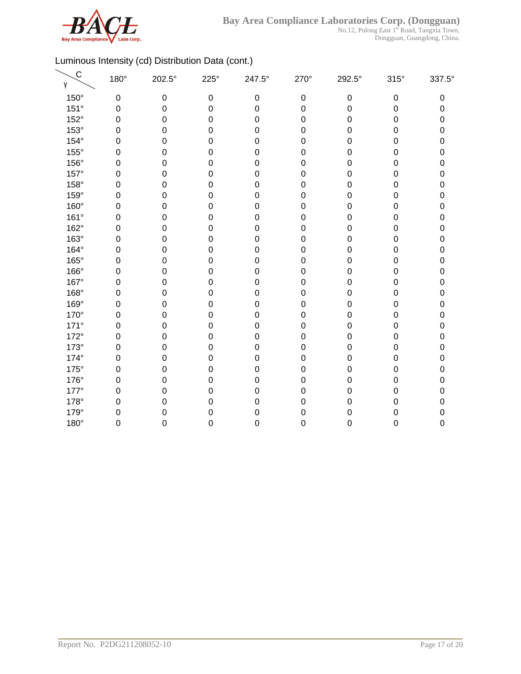

 $\overline{\phantom{0}}$ 

No.12, Pulong East 1<sup>st</sup> Road, Tangxia Town, Dongguan, Guangdong, China.

| $\mathsf{C}$<br>γ | 180°        | 202.5°           | $225^\circ$ | 247.5°           | 270°             | 292.5°      | $315^\circ$      | 337.5° |
|-------------------|-------------|------------------|-------------|------------------|------------------|-------------|------------------|--------|
| 150°              | $\mathbf 0$ | $\mathbf 0$      | $\mathbf 0$ | $\boldsymbol{0}$ | $\mathbf 0$      | $\mathbf 0$ | $\pmb{0}$        | 0      |
| 151°              | $\mathbf 0$ | $\mathbf 0$      | 0           | $\mathbf 0$      | $\mathbf 0$      | 0           | $\boldsymbol{0}$ | 0      |
| 152°              | $\mathbf 0$ | $\mathbf 0$      | 0           | $\mathbf 0$      | $\mathbf 0$      | 0           | $\boldsymbol{0}$ | 0      |
| 153°              | $\mathbf 0$ | $\mathbf 0$      | 0           | 0                | $\mathbf 0$      | 0           | $\mathbf 0$      | 0      |
| 154°              | $\mathbf 0$ | $\mathbf 0$      | 0           | 0                | $\mathbf 0$      | 0           | $\mathbf 0$      | 0      |
| 155°              | $\mathbf 0$ | $\mathbf 0$      | 0           | 0                | $\mathbf 0$      | 0           | $\mathbf 0$      | 0      |
| 156°              | $\mathbf 0$ | $\mathbf 0$      | 0           | 0                | $\mathbf 0$      | 0           | $\boldsymbol{0}$ | 0      |
| 157°              | 0           | $\mathbf 0$      | 0           | 0                | $\mathbf 0$      | 0           | 0                | 0      |
| 158°              | $\Omega$    | $\mathbf 0$      | 0           | 0                | $\boldsymbol{0}$ | 0           | 0                | 0      |
| 159°              | $\Omega$    | $\mathbf 0$      | 0           | 0                | $\boldsymbol{0}$ | 0           | 0                | 0      |
| 160°              | $\mathbf 0$ | $\mathbf 0$      | 0           | 0                | $\mathbf 0$      | 0           | $\mathbf 0$      | 0      |
| 161°              | $\mathbf 0$ | $\mathbf 0$      | 0           | $\mathbf 0$      | $\mathbf 0$      | 0           | $\mathbf 0$      | 0      |
| 162°              | $\mathbf 0$ | $\mathbf 0$      | 0           | 0                | $\mathbf 0$      | 0           | 0                | 0      |
| 163°              | $\mathbf 0$ | $\mathbf 0$      | 0           | $\mathbf 0$      | $\mathbf 0$      | 0           | $\boldsymbol{0}$ | 0      |
| 164°              | $\mathbf 0$ | $\mathbf 0$      | 0           | $\mathbf 0$      | $\mathbf 0$      | 0           | $\boldsymbol{0}$ | 0      |
| 165°              | $\mathbf 0$ | $\mathbf 0$      | 0           | 0                | $\mathbf 0$      | 0           | $\mathbf 0$      | 0      |
| 166°              | $\mathbf 0$ | $\mathbf 0$      | 0           | 0                | $\mathbf 0$      | 0           | $\mathbf 0$      | 0      |
| 167°              | $\mathbf 0$ | $\mathbf 0$      | 0           | $\mathbf 0$      | $\mathbf 0$      | 0           | $\boldsymbol{0}$ | 0      |
| 168°              | $\mathbf 0$ | $\pmb{0}$        | 0           | $\mathbf 0$      | $\mathbf 0$      | 0           | $\pmb{0}$        | 0      |
| 169°              | 0           | $\mathbf 0$      | 0           | 0                | $\mathbf 0$      | 0           | $\mathbf 0$      | 0      |
| 170°              | 0           | $\mathbf 0$      | $\mathbf 0$ | 0                | $\mathbf 0$      | 0           | 0                | 0      |
| $171^\circ$       | $\Omega$    | $\mathbf 0$      | 0           | 0                | $\mathbf 0$      | 0           | $\mathbf 0$      | 0      |
| 172°              | $\mathbf 0$ | $\mathbf 0$      | 0           | $\mathbf 0$      | $\mathbf 0$      | 0           | $\mathbf 0$      | 0      |
| $173^\circ$       | 0           | $\boldsymbol{0}$ | 0           | 0                | $\mathbf 0$      | 0           | 0                | 0      |
| 174°              | $\mathbf 0$ | $\boldsymbol{0}$ | 0           | $\mathbf 0$      | $\mathbf 0$      | 0           | $\boldsymbol{0}$ | 0      |
| $175^\circ$       | $\mathbf 0$ | $\mathbf 0$      | 0           | $\mathbf 0$      | $\mathbf 0$      | 0           | $\boldsymbol{0}$ | 0      |
| 176°              | $\mathbf 0$ | $\mathbf 0$      | 0           | $\mathbf 0$      | $\mathbf 0$      | 0           | $\boldsymbol{0}$ | 0      |
| $177^\circ$       | $\mathbf 0$ | $\boldsymbol{0}$ | 0           | $\mathbf 0$      | $\boldsymbol{0}$ | 0           | $\boldsymbol{0}$ | 0      |
| 178°              | $\mathbf 0$ | $\boldsymbol{0}$ | 0           | 0                | 0                | 0           | $\mathbf 0$      | 0      |
| 179°              | $\mathbf 0$ | 0                | 0           | $\mathbf 0$      | 0                | 0           | $\mathbf 0$      | 0      |
| 180°              | $\mathbf 0$ | $\mathbf 0$      | 0           | $\mathbf 0$      | 0                | 0           | $\mathbf 0$      | 0      |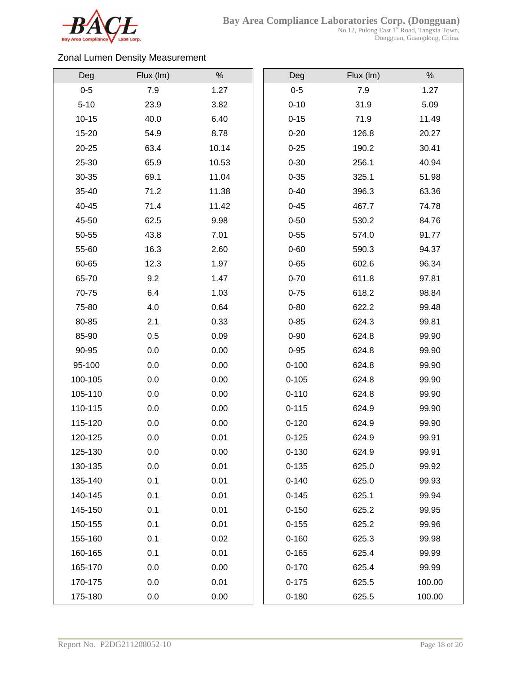

No.12, Pulong East 1<sup>st</sup> Road, Tangxia Town, Dongguan, Guangdong, China.

# Zonal Lumen Density Measurement

| Deg       | Flux (Im) | $\%$  | Deg       | Flux (Im) | $\%$   |
|-----------|-----------|-------|-----------|-----------|--------|
| $0 - 5$   | 7.9       | 1.27  | $0-5$     | 7.9       | 1.27   |
| $5 - 10$  | 23.9      | 3.82  | $0 - 10$  | 31.9      | 5.09   |
| $10 - 15$ | 40.0      | 6.40  | $0 - 15$  | 71.9      | 11.49  |
| 15-20     | 54.9      | 8.78  | $0 - 20$  | 126.8     | 20.27  |
| 20-25     | 63.4      | 10.14 | $0 - 25$  | 190.2     | 30.41  |
| 25-30     | 65.9      | 10.53 | $0 - 30$  | 256.1     | 40.94  |
| 30-35     | 69.1      | 11.04 | $0 - 35$  | 325.1     | 51.98  |
| 35-40     | 71.2      | 11.38 | $0 - 40$  | 396.3     | 63.36  |
| 40-45     | 71.4      | 11.42 | $0 - 45$  | 467.7     | 74.78  |
| 45-50     | 62.5      | 9.98  | $0 - 50$  | 530.2     | 84.76  |
| 50-55     | 43.8      | 7.01  | $0 - 55$  | 574.0     | 91.77  |
| 55-60     | 16.3      | 2.60  | $0 - 60$  | 590.3     | 94.37  |
| 60-65     | 12.3      | 1.97  | $0 - 65$  | 602.6     | 96.34  |
| 65-70     | 9.2       | 1.47  | $0 - 70$  | 611.8     | 97.81  |
| 70-75     | 6.4       | 1.03  | $0 - 75$  | 618.2     | 98.84  |
| 75-80     | 4.0       | 0.64  | $0 - 80$  | 622.2     | 99.48  |
| 80-85     | 2.1       | 0.33  | $0 - 85$  | 624.3     | 99.81  |
| 85-90     | 0.5       | 0.09  | $0 - 90$  | 624.8     | 99.90  |
| 90-95     | 0.0       | 0.00  | $0 - 95$  | 624.8     | 99.90  |
| 95-100    | 0.0       | 0.00  | $0 - 100$ | 624.8     | 99.90  |
| 100-105   | 0.0       | 0.00  | $0 - 105$ | 624.8     | 99.90  |
| 105-110   | 0.0       | 0.00  | $0 - 110$ | 624.8     | 99.90  |
| 110-115   | 0.0       | 0.00  | $0 - 115$ | 624.9     | 99.90  |
| 115-120   | 0.0       | 0.00  | $0 - 120$ | 624.9     | 99.90  |
| 120-125   | 0.0       | 0.01  | $0 - 125$ | 624.9     | 99.91  |
| 125-130   | 0.0       | 0.00  | $0 - 130$ | 624.9     | 99.91  |
| 130-135   | 0.0       | 0.01  | $0 - 135$ | 625.0     | 99.92  |
| 135-140   | 0.1       | 0.01  | $0 - 140$ | 625.0     | 99.93  |
| 140-145   | 0.1       | 0.01  | $0 - 145$ | 625.1     | 99.94  |
| 145-150   | 0.1       | 0.01  | $0 - 150$ | 625.2     | 99.95  |
| 150-155   | 0.1       | 0.01  | $0 - 155$ | 625.2     | 99.96  |
| 155-160   | 0.1       | 0.02  | $0 - 160$ | 625.3     | 99.98  |
| 160-165   | 0.1       | 0.01  | $0 - 165$ | 625.4     | 99.99  |
| 165-170   | 0.0       | 0.00  | $0 - 170$ | 625.4     | 99.99  |
| 170-175   | 0.0       | 0.01  | $0 - 175$ | 625.5     | 100.00 |
| 175-180   | 0.0       | 0.00  | $0 - 180$ | 625.5     | 100.00 |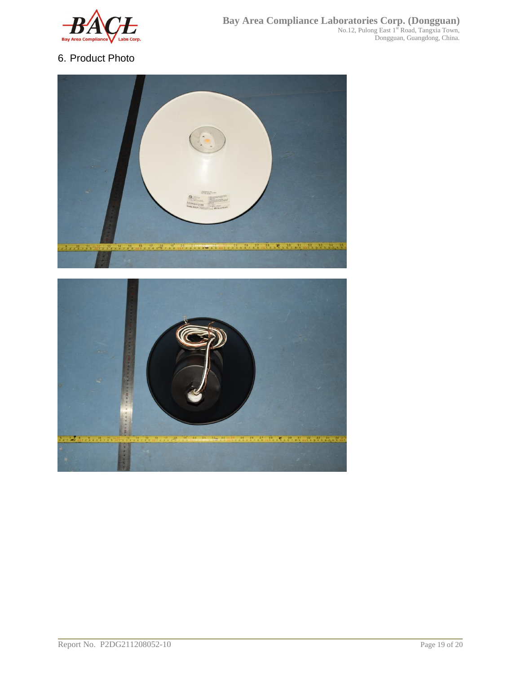

# 6. Product Photo